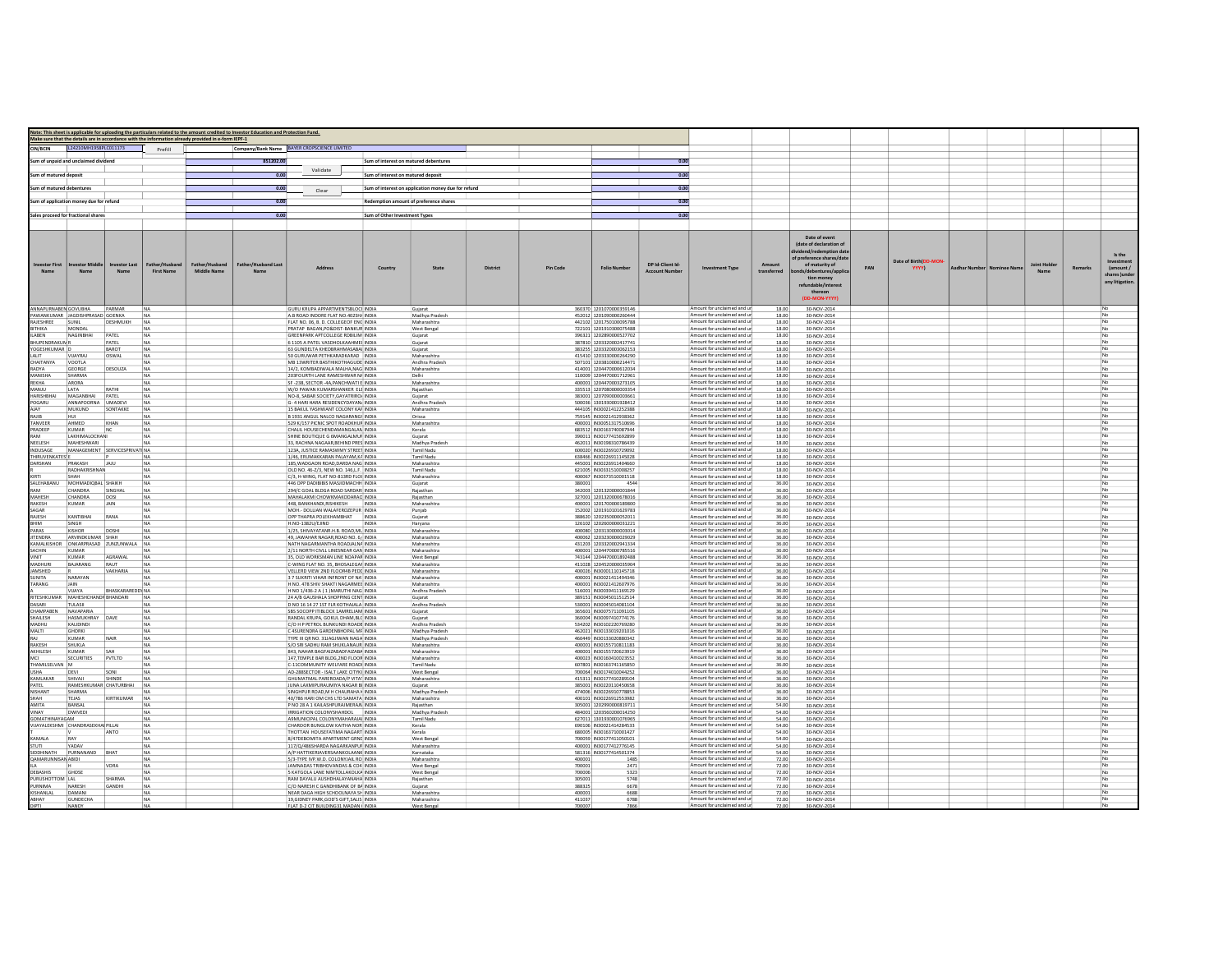|                                          |                                        |                              |                                   |                                                                                                     | Note: This sheet is applicable for uploading the particulars related to the amount credited to Investor Education and Protection Fund. |                                                                                  |                                        |                                                     |                 |                  |                                                    |                                          |                                                            |                       |                                                                                                                                                                                                                |     |                               |               |                      |         |                                              |
|------------------------------------------|----------------------------------------|------------------------------|-----------------------------------|-----------------------------------------------------------------------------------------------------|----------------------------------------------------------------------------------------------------------------------------------------|----------------------------------------------------------------------------------|----------------------------------------|-----------------------------------------------------|-----------------|------------------|----------------------------------------------------|------------------------------------------|------------------------------------------------------------|-----------------------|----------------------------------------------------------------------------------------------------------------------------------------------------------------------------------------------------------------|-----|-------------------------------|---------------|----------------------|---------|----------------------------------------------|
|                                          | L24210MH1958PLC011173                  |                              |                                   | Make sure that the details are in accordance with the information already provided in e-form IEPF-1 |                                                                                                                                        |                                                                                  |                                        |                                                     |                 |                  |                                                    |                                          |                                                            |                       |                                                                                                                                                                                                                |     |                               |               |                      |         |                                              |
| <b>CIN/RCIN</b>                          |                                        |                              | Prefill                           |                                                                                                     |                                                                                                                                        | Company/Bank Name BAYER CROPSCIENCE LIMITED                                      |                                        |                                                     |                 |                  |                                                    |                                          |                                                            |                       |                                                                                                                                                                                                                |     |                               |               |                      |         |                                              |
|                                          | Sum of unpaid and unclaimed dividenc   |                              |                                   |                                                                                                     | 851202.00                                                                                                                              |                                                                                  | Sum of interest on matured debentures  |                                                     |                 |                  |                                                    | 0.00                                     |                                                            |                       |                                                                                                                                                                                                                |     |                               |               |                      |         |                                              |
| Sum of matured deposit                   |                                        |                              |                                   |                                                                                                     | 0.00                                                                                                                                   | Validate                                                                         | Sum of interest on matured deposit     |                                                     |                 |                  |                                                    | 0.00                                     |                                                            |                       |                                                                                                                                                                                                                |     |                               |               |                      |         |                                              |
| im of matured debentures                 |                                        |                              |                                   |                                                                                                     | 0.00                                                                                                                                   |                                                                                  |                                        | Sum of interest on application money due for refund |                 |                  |                                                    | 0.00                                     |                                                            |                       |                                                                                                                                                                                                                |     |                               |               |                      |         |                                              |
|                                          |                                        |                              |                                   |                                                                                                     |                                                                                                                                        | Clear                                                                            |                                        |                                                     |                 |                  |                                                    |                                          |                                                            |                       |                                                                                                                                                                                                                |     |                               |               |                      |         |                                              |
|                                          | im of application money due for refund |                              |                                   |                                                                                                     | 0.00                                                                                                                                   |                                                                                  | Redemption amount of preference shares |                                                     |                 |                  |                                                    | 0.00                                     |                                                            |                       |                                                                                                                                                                                                                |     |                               |               |                      |         |                                              |
|                                          | ales proceed for fractional share      |                              |                                   |                                                                                                     | 0.00                                                                                                                                   |                                                                                  | Sum of Other Investment Types          |                                                     |                 |                  |                                                    | 0.00                                     |                                                            |                       |                                                                                                                                                                                                                |     |                               |               |                      |         |                                              |
|                                          |                                        |                              |                                   |                                                                                                     |                                                                                                                                        |                                                                                  |                                        |                                                     |                 |                  |                                                    |                                          |                                                            |                       |                                                                                                                                                                                                                |     |                               |               |                      |         |                                              |
| nvestor First                            | Name                                   | nvestor Last<br>Name         | ather/Hushar<br><b>First Name</b> | Father/Husband<br><b>Middle Name</b>                                                                | Father/Husband Last<br>Name                                                                                                            |                                                                                  | Country                                | State                                               | <b>District</b> | <b>Pin Code</b>  | <b>Folio Numbe</b>                                 | DP Id-Client Id<br><b>Account Number</b> | <b>Investment Type</b>                                     | Amount<br>transferred | Date of event<br>(date of declaration of<br>lividend/redemption date<br>of preference shares/date<br>of maturity of<br>bonds/debentures/applic<br>tion money<br>refundable/interest<br>thereon<br>(DD-MON-YYYY | PAN | Date of Birth(DD-MOM<br>YYYY) | Aadhar Number | Joint Holder<br>Name | Remarks | (amount /<br>shares lunde<br>any litigation. |
| ANNAPLIRNAREN GOVURHA                    | PAWANKLIMAR HAGDISHPRASAD GOENKA       | PARMAR                       | NA<br>NA                          |                                                                                                     |                                                                                                                                        | GURU KRUPA APPARTMENTSBLOCI INDIA                                                |                                        | Gujarat<br>Madhya Pradesh                           |                 |                  | 360370 1201070000359146                            |                                          | Amount for unclaimed and ur<br>Amount for unclaimed and ur | 18.00                 | 30-NOV-2014                                                                                                                                                                                                    |     |                               |               |                      |         |                                              |
| RAJESHREE                                | SUNI                                   | DESHMUKH                     | NA                                |                                                                                                     |                                                                                                                                        | A B ROAD INDORE FLAT NO.402SH/ INDIA<br>FLAT NO. 06, B. D. COLLEGEOF ENG INDIA   |                                        | Maharashtra                                         |                 |                  | 452012 120109000026044<br>442102 1201750100095788  |                                          | Amount for unclaimed and ur                                | 18.00<br>18.00        | 30-NOV-2014<br>30-NOV-2014                                                                                                                                                                                     |     |                               |               |                      |         |                                              |
| ANIHTH                                   | MONDAL                                 |                              | INA                               |                                                                                                     |                                                                                                                                        | PRATAP RAGAN PO&DIST-RANKUR INDIA                                                |                                        | West Bengal                                         |                 |                  | 722101 1201910300075488                            |                                          | Amount for unclaimed and ur                                | 18.00                 | 30-NOV-2014                                                                                                                                                                                                    |     |                               |               |                      |         |                                              |
| <b>AREN</b><br>BHUPENDRAKUN <sup>R</sup> | <b>NAGINBHAL</b>                       | PATFI<br>PATEL               | NA<br><b>NA</b>                   |                                                                                                     |                                                                                                                                        | <b>GREENPARK APTCOLLEGE RDBILIM INDIA</b><br>6 1105 A PATEL VASDHOLKAAHMEI INDIA |                                        | Gujarat<br>Guiarat                                  |                 |                  | 396321 1202890000527702<br>387810 1203320002417741 |                                          | Amount for unclaimed and ur<br>Amount for unclaimed and ur | 18.00<br>18.00        | 30-NOV-2014<br>30-NOV-2014                                                                                                                                                                                     |     |                               |               |                      |         |                                              |
| YOGESHKUMAR D                            |                                        | BAROT                        | <b>NA</b>                         |                                                                                                     |                                                                                                                                        | 63 GUNDELTA KHEDBRAHMASABAI INDIA                                                |                                        | Guiarat                                             |                 |                  | 383255 1203320003062153                            |                                          | Amount for unclaimed and ur                                | 18.00                 | 30-NOV-2014                                                                                                                                                                                                    |     |                               |               |                      |         |                                              |
| ALIT<br>CHAITANYA                        | VIJAYRA<br>VOOTLA                      | OSWAL                        | <b>NA</b><br><b>NA</b>            |                                                                                                     |                                                                                                                                        | 50 GURUWAR PETHKARADKARAD INDIA<br>MB 13WRITER BASTHIKOTHAGUDE INDIA             |                                        | Maharashtra<br>Andhra Pradesh                       |                 |                  | 415410 1203330000264290<br>507101 1203810000214471 |                                          | Amount for unclaimed and ur<br>Amount for unclaimed and ur | 18.00<br>18.00        | 30-NOV-2014<br>30-NOV-2014                                                                                                                                                                                     |     |                               |               |                      |         |                                              |
| RADYA                                    | <b>GEORGE</b>                          | DESOUZA                      | NA                                |                                                                                                     |                                                                                                                                        | 14/2, KOMBADIWALA MALHA, NAG INDIA                                               |                                        | Maharashtra                                         |                 |                  | 414001 1204470000612034                            |                                          | Amount for unclaimed and ur                                | 18.00                 | 30-NOV-2014                                                                                                                                                                                                    |     |                               |               |                      |         |                                              |
| MANISHA                                  | SHARMA                                 |                              | <b>NA</b>                         |                                                                                                     |                                                                                                                                        | 203FOURTH LANE RAMESHWAR N/ INDIA                                                |                                        | Delhi                                               |                 |                  | 110009 1204470001712961                            |                                          | Amount for unclaimed and ur                                | 18.00                 | 30-NOV-2014                                                                                                                                                                                                    |     |                               |               |                      |         |                                              |
| EKHA<br>UUAN                             | ARORA<br>LATA                          | RATHI                        | NA<br>NA                          |                                                                                                     |                                                                                                                                        | SF -238, SECTOR -4A, PANCHWATI E INDIA<br>W/O PAWAN KUMARSHANKER ELE INDIA       |                                        | Maharashtra<br>Rajasthan                            |                 |                  | 400001 120447000327310<br>335513 1207080000003354  |                                          | Amount for unclaimed and ur<br>Amount for unclaimed and ur | 18.00<br>18.00        | 30-NOV-2014<br>30-NOV-2014                                                                                                                                                                                     |     |                               |               |                      |         |                                              |
| ARISHBHA                                 | MAGANBHAI                              | PATEL                        |                                   |                                                                                                     |                                                                                                                                        | NO-8, SABAR SOCIETY, GAYATRIRO/ INDIA                                            |                                        | Gujarat                                             |                 |                  | 383001 120709000000366                             |                                          | Amount for unclaimed and ur                                | 18.00                 | 30-NOV-2014                                                                                                                                                                                                    |     |                               |               |                      |         |                                              |
| POGARU<br><b>ALAV</b>                    | ANNAPOORNA UMADEVI<br>MUKUND           | SONTAKKE                     | NA<br>NA                          |                                                                                                     |                                                                                                                                        | G- 4 HARI HARA RESIDENCYDAYAN/ INDIA<br>15 BAKUL YASHWANT COLONY KAF INDIA       |                                        | Andhra Pradesh<br>Maharashtra                       |                 |                  | 500036 1301930001928412<br>444105 IN30021412252388 |                                          | Amount for unclaimed and un<br>Amount for unclaimed and ur | 18.00<br>18.00        | 30-NOV-2014                                                                                                                                                                                                    |     |                               |               |                      |         |                                              |
| RAJIB                                    |                                        |                              |                                   |                                                                                                     |                                                                                                                                        | B 1931 ANGUL NALCO NAGARANGI INDIA                                               |                                        | Orissa                                              |                 |                  | 759145 IN30021412938362                            |                                          | Amount for unclaimed and un                                | 18.00                 | 30-NOV-2014<br>30-NOV-2014                                                                                                                                                                                     |     |                               |               |                      |         |                                              |
| <b>TANVEER</b>                           | <b>AHMED</b>                           | KHAN                         | NA                                |                                                                                                     |                                                                                                                                        | 529 K/157 PICNIC SPOT ROADKHUF INDIA                                             |                                        | Maharashtra                                         |                 |                  | 400001 IN30051317510696                            |                                          | Amount for unclaimed and ur                                | 18.00                 | 30-NOV-2014                                                                                                                                                                                                    |     |                               |               |                      |         |                                              |
| RADEEP<br><b>AAA</b>                     | KUMAR<br>Ι ΔΚΗΙΜΑΙ ΟΓΗΔΝΙ              | NC                           | NA<br><b>NA</b>                   |                                                                                                     |                                                                                                                                        | CHALIL HOUSECHENDAMANGALAN INDIA<br>SHINE ROLLTIOUE G 6MANGALMUE INDIA           |                                        | Kerala<br>Guiarat                                   |                 |                  | 683512 IN30163740087944<br>390011 IN30177415692899 |                                          | Amount for unclaimed and un<br>Amount for unclaimed and ur | 18.00<br>18.00        | 30-NOV-2014<br>30-NOV-2014                                                                                                                                                                                     |     |                               |               |                      |         |                                              |
| NEELESH                                  | MAHESHWARI                             |                              | <b>NA</b>                         |                                                                                                     |                                                                                                                                        | 33. RACHNA NAGAAR.BEHIND PRES INDIA                                              |                                        | Madhya Pradesh                                      |                 |                  | 462011 IN30198310786439                            |                                          | Amount for unclaimed and ur                                | 18.00                 | 30-NOV-2014                                                                                                                                                                                                    |     |                               |               |                      |         |                                              |
| INDUSAGE<br><b>HIRLIVENKATES</b>         |                                        | MANAGEMENT SERVICESPRIVAT NA |                                   |                                                                                                     |                                                                                                                                        | 123A. JUSTICE RAMASWMY STREET INDIA<br>1/46 FRUMAKKARAN PALAYAM K4 INDIA         |                                        | Tamil Nadu<br>Tamil Nadu                            |                 |                  | 600020 IN30226910729092<br>638466 IN30226911145028 |                                          | Amount for unclaimed and ur<br>Amount for unclaimed and ur | 18.00<br>18.00        | 30-NOV-2014<br>30-NOV-2014                                                                                                                                                                                     |     |                               |               |                      |         |                                              |
| DARSHAN                                  | PRAKASH                                | JAJU                         | <b>NA</b><br>NA                   |                                                                                                     |                                                                                                                                        | 185. WADGAON ROAD, DARDA NAG INDIA                                               |                                        | Maharashtra                                         |                 |                  | 445001 IN30226911404660                            |                                          | Amount for unclaimed and ur                                | 18.00                 | 30-NOV-2014                                                                                                                                                                                                    |     |                               |               |                      |         |                                              |
|                                          | RADHAKRISHNAN                          |                              | NA                                |                                                                                                     |                                                                                                                                        | OLD NO. 46-2/3. NEW NO. 146.L.F. INDIA                                           |                                        | Tamil Nadu                                          |                 |                  | 621005 IN30331510008257                            |                                          | Amount for unclaimed and ur                                | 18.00                 | 30-NOV-2014                                                                                                                                                                                                    |     |                               |               |                      |         |                                              |
| SALEHABANU                               | SHAH<br>MOHMADIOBAL SHAIKH             |                              | <b>NA</b><br><b>NA</b>            |                                                                                                     |                                                                                                                                        | C/3, H-WING, FLAT NO-813RD FLO( INDIA<br>446 OPP DADIBIBIS MASJIDMACHH INDIA     |                                        | Maharashtra<br>Guiarat                              |                 | 380001           | 400067 IN30373510001518<br>4544                    |                                          | Amount for unclaimed and ur<br>Amount for unclaimed and ur | 18.00<br>36.00        | 30-NOV-2014<br>30-NOV-2014                                                                                                                                                                                     |     |                               |               |                      |         |                                              |
| MA:                                      | CHANDRA                                | SINGHAL                      | <b>NA</b>                         |                                                                                                     |                                                                                                                                        | 294/C GOAL BLDGA ROAD SARDARI INDIA                                              |                                        | Rajasthan                                           |                 |                  | 342003 1201320000001844                            |                                          | Amount for unclaimed and ur                                | 36.00                 | 30-NOV-2014                                                                                                                                                                                                    |     |                               |               |                      |         |                                              |
| MAHESH<br>RAKESH                         | CHANDRA<br><b>KUMAR</b>                | DOSI<br><b>JAIN</b>          | <b>NA</b><br><b>NA</b>            |                                                                                                     |                                                                                                                                        | MAHALAXMI CHOWKMAKODARAC INDIA<br>448. BANKHANDI.RISHIKESH INDIA                 |                                        | Rajasthan<br>Maharashtra                            |                 |                  | 327001 1201320000678016<br>400001 1201700000189800 |                                          | Amount for unclaimed and ur<br>Amount for unclaimed and ur | 36.00<br>36.00        | 30-NOV-2014<br>30-NOV-2014                                                                                                                                                                                     |     |                               |               |                      |         |                                              |
| <b>SAGAR</b>                             |                                        |                              | NA                                |                                                                                                     |                                                                                                                                        | MOH .- DOLLIAN WALAFEROZEPUR INDIA                                               |                                        | Punjab                                              |                 |                  | 152002 1201910101629783                            |                                          | Amount for unclaimed and ur                                | 36.00                 | 30-NOV-2014                                                                                                                                                                                                    |     |                               |               |                      |         |                                              |
| RAJESH                                   | KANTIBHAI                              | RANA                         | NA                                |                                                                                                     |                                                                                                                                        | OPP THAPRA POLEKHAMBHAT INDIA                                                    |                                        | Gujarat                                             |                 |                  | 388620 1202350000052011                            |                                          | Amount for unclaimed and ur                                | 36.00                 | 30-NOV-2014                                                                                                                                                                                                    |     |                               |               |                      |         |                                              |
| ARAS                                     | SINGH<br><b>KISHOR</b>                 | DOSHI                        | NA                                |                                                                                                     |                                                                                                                                        | H.NO-1382U/EJIND<br>1/25. SHIVAYATANR.H.B. ROAD.ML INDIA                         |                                        | Haryana<br>Maharashtra                              |                 |                  | 126102 120260000003122:<br>400080 1203130000003014 |                                          | Amount for unclaimed and ur<br>Amount for unclaimed and ur | 36.00<br>36.00        | 30-NOV-2014<br>30-NOV-2014                                                                                                                                                                                     |     |                               |               |                      |         |                                              |
| TENDRA                                   | ARVINDKUMAR SHAH                       |                              | <b>NA</b>                         |                                                                                                     |                                                                                                                                        | 49. JAWAHAR NAGAR ROAD NO. 6. INDIA                                              |                                        | Maharashtra                                         |                 |                  | 400062 120323000002902                             |                                          | Amount for unclaimed and ur                                | 36.00                 | 30-NOV-2014                                                                                                                                                                                                    |     |                               |               |                      |         |                                              |
| MALKISHOR<br>SACHIN                      | KUMAR                                  | ONKARPRASAD ZUNZUNWALA NA    |                                   |                                                                                                     |                                                                                                                                        | NATH NAGARMANTHA ROADJALNA INDIA<br>2/11 NORTH CIVLL LINESNEAR GAN INDIA         |                                        | Maharashtra<br>Maharashtra                          |                 |                  | 431203 1203320002941334<br>400001 1204470000785516 |                                          | Amount for unclaimed and ur<br>Amount for unclaimed and ur | 36.00<br>36.00        | 30-NOV-2014<br>30-NOV-2014                                                                                                                                                                                     |     |                               |               |                      |         |                                              |
| TIMP                                     | <b>KUMAR</b>                           | AGRAWAL                      | NA                                |                                                                                                     |                                                                                                                                        | 35, OLD WORKSMAN LINE NOAPAR INDIA                                               |                                        | West Benga                                          |                 |                  | 743144 1204470001892488                            |                                          | Amount for unclaimed and un                                | 36.00                 | 30-NOV-2014                                                                                                                                                                                                    |     |                               |               |                      |         |                                              |
| MADHURI                                  | <b>BAIARANG</b>                        | RALIT                        | <b>NA</b>                         |                                                                                                     |                                                                                                                                        | C-WING FLAT NO. 35 BHOSALEGAE INDIA                                              |                                        | Maharashtra                                         |                 |                  | 411028 1204520000035904                            |                                          | Amount for unclaimed and ur<br>Amount for unclaimed and ur | 36.00                 | 30-NOV-2014                                                                                                                                                                                                    |     |                               |               |                      |         |                                              |
| AMSHED<br><b>SUNITA</b>                  | NARAYAN                                | VAKHARIA                     | NA                                |                                                                                                     |                                                                                                                                        | VELLERD VIEW 2ND FLOOR4B PEDE INDIA<br>3 7 SUKRITI VIHAR INFRONT OF NATINDIA     |                                        | Maharashtra<br>Maharashtra                          |                 |                  | 400026 IN30001110145718<br>400001 IN30021411494346 |                                          | Amount for unclaimed and ur                                | 36.00<br>36.00        | 30-NOV-2014<br>30-NOV-2014                                                                                                                                                                                     |     |                               |               |                      |         |                                              |
| TARANG                                   | <b>IAIN</b>                            |                              | <b>NA</b>                         |                                                                                                     |                                                                                                                                        | H NO 478 SHIV SHAKTI NAGARMEE INDIA                                              |                                        | Maharashtra                                         |                 |                  | 400001 IN30021412607976                            |                                          | Amount for unclaimed and ur                                | 36.00                 | 30-NOV-2014                                                                                                                                                                                                    |     |                               |               |                      |         |                                              |
| RITESHKUMAR                              | VIJAYA<br>MAHESHCHANDF BHANDARI        | BHASKARAREDD' NA             | <b>NA</b>                         |                                                                                                     |                                                                                                                                        | H NO 1/436-2 A (1) MARUTHI NAG INDIA<br>24 A/B GAUSHALA SHOPPING CENT INDIA      |                                        | Andhra Pradesh<br>Guiarat                           |                 |                  | 516001 IN30039411169129<br>389151 IN30045011512514 |                                          | Amount for unclaimed and ur<br>Amount for unclaimed and ur | 36.00<br>36.00        | 30-NOV-2014<br>30-NOV-2014                                                                                                                                                                                     |     |                               |               |                      |         |                                              |
| DASARI                                   | TULASII                                |                              | <b>NA</b>                         |                                                                                                     |                                                                                                                                        | D NO 16 14 27 1ST FLR KOTHAJALA INDIA                                            |                                        | Andhra Pradesh                                      |                 |                  | 530001 IN30045014081104                            |                                          | Amount for unclaimed and ur                                | 36.00                 | 30-NOV-2014                                                                                                                                                                                                    |     |                               |               |                      |         |                                              |
| CHAMPABEN<br><b>IAILESH</b>              | NAVAPARIA<br>HASMUKHRAY                | DAVE                         | NA<br>NA                          |                                                                                                     |                                                                                                                                        | SBS SOCOPP ITIBLOCK 1AMRELIAM INDIA<br>RANDAL KRUPA, GOKUL DHAM, BLC INDIA       |                                        | Guiarat                                             |                 |                  | 365601 IN30075711091105<br>360004 IN30097410774176 |                                          | Amount for unclaimed and ur<br>Amount for unclaimed and ur | 36.00<br>36.00        | 30-NOV-2014                                                                                                                                                                                                    |     |                               |               |                      |         |                                              |
| MADHU                                    | KALIDINDI                              |                              | NA                                |                                                                                                     |                                                                                                                                        | C/O H P PETROL BUNKUNDI ROADE INDIA                                              |                                        | Gujarat<br>Andhra Pradesh                           |                 |                  | 534202 IN30102220769280                            |                                          | Amount for unclaimed and ur                                | 36.00                 | 30-NOV-2014<br>30-NOV-2014                                                                                                                                                                                     |     |                               |               |                      |         |                                              |
| MALTI                                    | <b>GHORK</b>                           |                              | <b>NA</b>                         |                                                                                                     |                                                                                                                                        | 4SURENDRA GARDENBHOPAL MF INDIA                                                  |                                        | Madhya Pradesh                                      |                 |                  | 462021 IN30133019201016                            |                                          | Amount for unclaimed and u                                 | 36.00                 | 30-NOV-2014                                                                                                                                                                                                    |     |                               |               |                      |         |                                              |
| AKESH                                    | KUMAR<br>SHUKLA                        | NAIR                         | <b>NA</b><br>NA                   |                                                                                                     |                                                                                                                                        | TYPE III OR NO. 31JAGJIWAN NAGA INDIA<br>S/O SRI SADHU RAM SHUKLANAUR INDIA      |                                        | Madhya Pradesh<br>Maharashtra                       |                 |                  | 460449 IN30133020880342<br>400001 IN30155710811183 |                                          | Amount for unclaimed and ur<br>Amount for unclaimed and ur | 36.00<br>36.00        | 30-NOV-2014<br>30-NOV-2014                                                                                                                                                                                     |     |                               |               |                      |         |                                              |
| AKHILESH                                 | KUMAR                                  | SAH                          | NA                                |                                                                                                     |                                                                                                                                        | 843, NAHAR BAGFAIZABADFAIZABA INDIA                                              |                                        | Maharashtra                                         |                 |                  | 400001 IN30155720623919                            |                                          | Amount for unclaimed and ur                                | 36.00                 | 30-NOV-2014                                                                                                                                                                                                    |     |                               |               |                      |         |                                              |
| ЛCI<br>THAMILSELVAN M                    | SECURITIES                             | PVTLTD                       | NA                                |                                                                                                     |                                                                                                                                        | 147.TEMPLE BAR BLDG.2ND FLOOR INDIA<br>C-11COMMUNITY WELFARE ROADI INDIA         |                                        | Maharashtra<br>Tamil Nadu                           |                 |                  | 400023 IN30160410023552<br>607801 IN30163741165850 |                                          | Amount for unclaimed and un<br>Amount for unclaimed and ur | 36.00<br>36.00        | 30-NOV-2014<br>30-NOV-2014                                                                                                                                                                                     |     |                               |               |                      |         |                                              |
| SHA                                      | DEVI                                   | SON                          | NA                                |                                                                                                     |                                                                                                                                        | AD-288SECTOR - ISALT LAKE CITYK( INDIA                                           |                                        | West Bengal                                         |                 |                  | 700064 IN30174010044252                            |                                          | Amount for unclaimed and un                                | 36.00                 | 30-NOV-2014                                                                                                                                                                                                    |     |                               |               |                      |         |                                              |
| KAMLAKAR                                 | SHIVAII                                | SHINDE                       | NA                                |                                                                                                     |                                                                                                                                        | GHUMATMAL PAREROADA/P VITAT INDIA                                                |                                        | Maharashtra                                         |                 |                  | 415311 IN30177410289104                            |                                          | Amount for unclaimed and ur<br>Amount for unclaimed and un | 36.00                 | 30-NOV-2014                                                                                                                                                                                                    |     |                               |               |                      |         |                                              |
| ATEL<br><b>NISHANT</b>                   | RAMESHKUMAR CHATURBHAI<br>SHARMA       |                              | NA<br><b>NA</b>                   |                                                                                                     |                                                                                                                                        | JUNA LAXMIPURAUMIYA NAGAR BI INDIA<br>SINGHPLIR ROAD M H CHALIRAHA HINDIA        |                                        | Gujarat<br>Madhya Pradesh                           |                 |                  | 385001 IN30220110450658<br>474006 IN30226910778853 |                                          | Amount for unclaimed and ur                                | 36.00<br>36.00        | 30-NOV-2014<br>30-NOV-2014                                                                                                                                                                                     |     |                               |               |                      |         |                                              |
| HAH                                      | <b>TEJAS</b>                           | KIRTIKUMAR                   | NA                                |                                                                                                     |                                                                                                                                        | 40/786 HARI OM CHS LTD SAMATA INDIA                                              |                                        | Maharashtra                                         |                 |                  | 400101 IN30226912553982                            |                                          | Amount for unclaimed and ur                                | 36.00                 | 30-NOV-2014                                                                                                                                                                                                    |     |                               |               |                      |         |                                              |
| AMITA<br>VINAY                           | BANSAL<br><b>DWIVED</b>                |                              | <b>NA</b><br><b>NA</b>            |                                                                                                     |                                                                                                                                        | P NO 28 A 1 KAILASHPURAJMERAJN INDIA<br>IRRIGATION COLONYSHAHDOL INDIA           |                                        | Rajasthan<br>Madhya Pradesh                         |                 |                  | 305001 1202990000819711<br>484001 1203560200014250 |                                          | Amount for unclaimed and ur<br>Amount for unclaimed and ur | 54.00<br>54.00        | 30-NOV-2014<br>30-NOV-2014                                                                                                                                                                                     |     |                               |               |                      |         |                                              |
| GOMATHINAYAGAM                           |                                        |                              | <b>NA</b>                         |                                                                                                     |                                                                                                                                        | A9MUNICIPAL COLONYMAHARAJAI INDIA                                                |                                        | Tamil Nadu                                          |                 |                  | 627011 1301930001076965                            |                                          | Amount for unclaimed and ur                                | 54.00                 | 30-NOV-2014                                                                                                                                                                                                    |     |                               |               |                      |         |                                              |
|                                          | VIJAYALEKSHMI CHANDRASEKHA PILLAI      | <b>ANTO</b>                  | <b>NA</b><br><b>NA</b>            |                                                                                                     |                                                                                                                                        | CHAROOR BUNGLOW KAITHA NOR INDIA<br>THOTTAN HOUSEFATIMA NAGART INDIA             |                                        | Kerala<br>Kerala                                    |                 |                  | 690106 IN30021414284533<br>680005 IN30163710001427 |                                          | Amount for unclaimed and ur<br>Amount for unclaimed and ur | 54.00<br>54.00        | 30-NOV-2014<br>30-NOV-2014                                                                                                                                                                                     |     |                               |               |                      |         |                                              |
| KAMALA                                   | RAY                                    |                              | <b>NA</b>                         |                                                                                                     |                                                                                                                                        | 8/47DEBOMITA APARTMENT GRNE INDIA                                                |                                        | West Bengal                                         |                 |                  | 700059 IN30177411050101                            |                                          | Amount for unclaimed and ur                                | 54.00                 | 30-NOV-2014                                                                                                                                                                                                    |     |                               |               |                      |         |                                              |
| STUTI                                    | YADAV                                  |                              | <b>NA</b>                         |                                                                                                     |                                                                                                                                        | 117/Q/486SHARDA NAGARKANPUF INDIA                                                |                                        | Maharashtra                                         |                 |                  | 400001   IN30177412776145                          |                                          | Amount for unclaimed and ur                                | 54.00                 | 30-NOV-2014                                                                                                                                                                                                    |     |                               |               |                      |         |                                              |
| SIDDHINATH<br>AMARUNNISAN ABIDI          | PURNANAND                              | BHAT                         | NA<br>NA                          |                                                                                                     |                                                                                                                                        | A/P HATTIKERIAVERSAANKOLAANK INDIA<br>5/3-TYPE IVP.W.D. COLONYJAIL RO INDIA      |                                        | Karnataka<br>Maharashtra                            |                 | 400001           | 581316 IN30177414501374<br>148                     |                                          | Amount for unclaimed and ur<br>Amount for unclaimed and u  | 54.00<br>72.00        | 30-NOV-2014<br>30-NOV-2014                                                                                                                                                                                     |     |                               |               |                      |         |                                              |
|                                          |                                        | VORA                         | <b>NA</b>                         |                                                                                                     |                                                                                                                                        | JAMNADAS TRIBHOVANDAS & CO4 INDIA                                                |                                        | West Bengal                                         |                 | 700001           | 2471                                               |                                          | Amount for unclaimed and ur                                | 72.00                 | 30-NOV-2014                                                                                                                                                                                                    |     |                               |               |                      |         |                                              |
| EBASHIS<br>URUSHOTTOM LAL                | <b>GHOSE</b>                           | SHARMA                       | NA                                |                                                                                                     |                                                                                                                                        | 5 KATGOLA LANE NIMTOLLAKOLKA INDIA<br>RAM DAYALU AUSHDHALAYANAHA INDIA           |                                        | West Benga                                          |                 | 700006<br>305001 | 5323<br>5748                                       |                                          | Amount for unclaimed and ur<br>Amount for unclaimed and un | 72.0<br>72.00         | 30-NOV-2014<br>30-NOV-2014                                                                                                                                                                                     |     |                               |               |                      |         |                                              |
| URNIMA                                   | <b>NARFSE</b>                          | GANDHI                       | <b>NA</b>                         |                                                                                                     |                                                                                                                                        | C/O NARESH C GANDHIBANK OF BA INDIA                                              |                                        | Rajasthan<br>Gujarat                                |                 | 388325           | 6678                                               |                                          | Amount for unclaimed and un                                | 72.00                 | 30-NOV-2014                                                                                                                                                                                                    |     |                               |               |                      |         |                                              |
| <b>ISHANLAL</b>                          | DAMANI                                 |                              | <b>NA</b>                         |                                                                                                     |                                                                                                                                        | NEAR DAGA HIGH SCHOOLNAYA SH INDIA                                               |                                        | Maharashtra                                         |                 | 400001           | 6688                                               |                                          | Amount for unclaimed and un                                | 72.00                 | 30-NOV-2014                                                                                                                                                                                                    |     |                               |               |                      |         |                                              |
| <b>ABHAY</b>                             | <b>GUNDECHA</b><br><b>NAND</b>         |                              | <b>NA</b>                         |                                                                                                     |                                                                                                                                        | 19.GIDNEY PARK.GOD'S GIFT.SALIS INDIA                                            |                                        | Maharashtra                                         |                 | 411037           | 6788                                               |                                          | Amount for unclaimed and un<br>Amount for unclaimed and u  | 72.00                 | 30-NOV-2014                                                                                                                                                                                                    |     |                               |               |                      |         |                                              |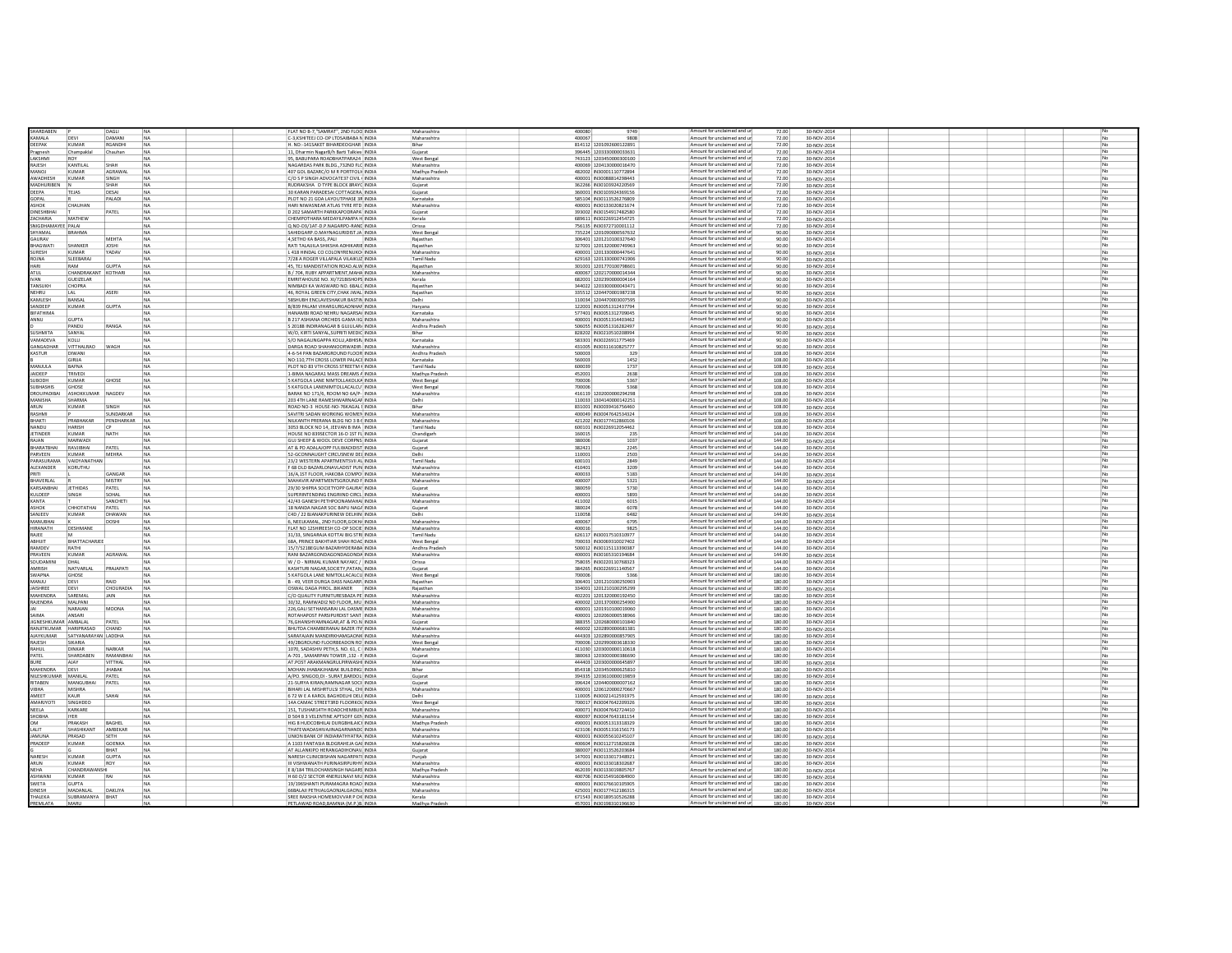| SHARDABEN              |                     | <b>DAGLI</b>      | NA                     | FLAT NO B-7 "SAMRAT" 2ND FLOO INDIA         | Maharashtra    | 400080<br>9749                                     | Amount for unclaimed and ur | 72.00            | 30-NOV-2014       |  |
|------------------------|---------------------|-------------------|------------------------|---------------------------------------------|----------------|----------------------------------------------------|-----------------------------|------------------|-------------------|--|
| KAMALA                 | DEVI                | DAMANI            | <b>NA</b>              | C-3.KSHITEEJ CO-OP LTDSAIBABA N INDIA       | Maharashtra    | 400067<br>9808                                     | Amount for unclaimed and ur | 72.00            | 30-NOV-2014       |  |
| DEEPAK                 | KUMAR               | <b>RGANDHI</b>    | NA                     | H NO-141SAKET RIHARDEOGHAR INDIA            | Rihar          | 814112 1201092600122891                            | Amount for unclaimed and ur | 72.00            | 30-NOV-2014       |  |
| ragnesh                | Champakla           | Chauhan           | <b>NA</b>              | 11. Dharmin NazarB/h Barti Talkies INDIA    | Guiarat        | 396445 120333000003363                             | Amount for unclaimed and ur | 72.00            | 30-NOV-2014       |  |
|                        |                     |                   |                        |                                             |                |                                                    | Amount for unclaimed and ur |                  |                   |  |
| AKSHMI                 | ROY                 |                   | <b>NA</b>              | 95. BABUPARA ROADBHATPARA24 INDIA           | West Bengal    | 743123 1203450000300100                            | Amount for unclaimed and ur | 72.00            | 30-NOV-2014       |  |
| RAJESH                 | KANTILAI            | SHAH              | <b>NA</b>              | NAGARDAS PARK BLDG732ND FLC INDIA           | Maharashtra    | 400069 1204130000016470                            |                             | 72.00            | 30-NOV-2014       |  |
| LONAN                  | KUMAR               | AGRAWAL           | NA                     | 407 GOL BAZARC/O M R PORTFOLII INDIA        | Madhya Pradesh | 482002 IN30001110772894                            | Amount for unclaimed and ur | 72.00            | 30-NOV-2014       |  |
| <b>AWADHESH</b>        | KUMAR               | SINGH             |                        | C/O S P SINGH ADVOCATE37 CIVIL ( INDIA      | Maharashtra    | 400001   IN30088814298443                          | Amount for unclaimed and ur | 72.00            | 30-NOV-2014       |  |
| MADHURIBEN             |                     | SHAH              | NA                     | RUDRAKSHA D TYPE BLOCK SRAYC INDIA          | Gujarat        | 362266 IN30103924220569                            | Amount for unclaimed and ur | 72.00            | 30-NOV-2014       |  |
| EEPA                   | TEJAS               | DESA              | NA                     | 30 KARAN PARADESAI COTTAGERA INDIA          | Gujarat        | 360001 IN30103924369156                            | Amount for unclaimed and ur | 72.00            | 30-NOV-2014       |  |
| OPAL                   |                     | PALADI            | NA                     | PLOT NO 21 GDA LAYOUTPHASE 3R INDIA         | Karnataka      | 585104 IN30113526276809                            | Amount for unclaimed and ur | 72.00            | 30-NOV-2014       |  |
| ASHOK                  |                     |                   | <b>NA</b>              | HARI NIWASNEAR ATLAS TYRE RTD INDIA         |                | 400001 IN30133020821674                            | Amount for unclaimed and ur |                  | 30-NOV-2014       |  |
| INESHBHAI              | CHAUHAN             | PATEL             | NA                     | D 202 SAMARTH PARKKAPODRAPA INDIA           | Maharashtra    | 393002 IN30154917482580                            | Amount for unclaimed and u  | 72.00<br>72.00   | 30-NOV-2014       |  |
|                        |                     |                   |                        |                                             | Gujarat        |                                                    |                             |                  |                   |  |
| ZACHARIA               | MATHEW              |                   | <b>NA</b>              | CHEMPOTHARA MEDAYILPAMPA H INDIA            | Kerala         | 689611 IN30226912454725                            | Amount for unclaimed and ur | 72.00            | 30-NOV-2014       |  |
| <b>IIGDHAMA</b>        | PALAI               |                   |                        | Q.NO-D3/1AT-D.P.NAGARPO-RANE INDIA          | Orissa         | 756135 IN30372710001112                            | Amount for unclaimed and u  | 72.00            | 30-NOV-2014       |  |
| <b>TYAMAL</b>          | <b>BRAHMA</b>       |                   | <b>NA</b>              | SAHIDGARP.O.MAYNAGURIDIST.JA INDIA          | West Bengal    | 735224 1201090000567632                            | Amount for unclaimed and ur | 90.00            | 30-NOV-2014       |  |
| AURAV                  |                     | MEHTA             | NA                     | 4, SETHO KA BASS, PALI<br>INDIA             | Rajasthan      | 306401 120121010032764                             | Amount for unclaimed and un | 90.00            | 30-NOV-2014       |  |
| HAGWATI                | SHANKER             | <b>JOSHI</b>      | NA                     | RATI TALAUILA SHIKSHA ADHIKARIE INDIA       | Rajasthan      | 327001 120132000074996                             | Amount for unclaimed and u  | 90.00            | 30-NOV-2014       |  |
| URESH                  | KUMAAR              | <b>YADAV</b>      | <b>NA</b>              | L 418 HINDAL CO COLONYRENUKO INDIA          | Maharashtra    | 400001 120133000044764:                            | Amount for unclaimed and un | 90.00            | 30-NOV-2014       |  |
| AMLOR                  | SLEEBARA            |                   | NA                     | 7/28 A ROGER VILLAPALA VILAIKUZ INDIA       | Tamil Nadu     | 629163 1201330000741906                            | Amount for unclaimed and ur | 90.00            | 30-NOV-2014<br>Ne |  |
| HARI                   | RAM                 | <b>GUPTA</b>      | NA                     | 45. TEJ MANDISTATION ROAD.ALW INDIA         | Rajasthan      | 301001 120177010079860:                            | Amount for unclaimed and ur | 90.00            |                   |  |
|                        |                     |                   |                        |                                             |                |                                                    | Amount for unclaimed and un |                  | 30-NOV-2014       |  |
| ATUI                   | CHANDRAKANT KOTHARI |                   |                        | B / 704, RUBY APPARTMENT, MAHA INDIA        | Maharashtra    | 400067 120217000001434                             |                             | 90.00            | 30-NOV-2014       |  |
| <b>IVAN</b>            | GUEIZELAR           |                   |                        | EMRITAHOUSE NO. XI/721BISHOPS INDIA         | Kerala         | 682001 1202390000004164                            | Amount for unclaimed and ur | 90.00            | 30-NOV-2014       |  |
| TANSUKH                | CHOPRA              |                   | NA                     | NIMBADI KA WASWARD NO. 6BALC INDIA          | Rajasthan      | 344022 120330000004347:                            | Amount for unclaimed and ur | 90.00            | 30-NOV-2014<br>No |  |
| <b>IFHRIT</b>          | 1 AL                | <b>ASFRI</b>      | <b>NA</b>              | 46 ROYAL GREEN CITY CHAK IWAL INDIA         | Rajasthan      | 335512 1204470001987238                            | Amount for unclaimed and ur | 90.00            | 30-NOV-2014       |  |
| <b>AMIESH</b>          | RANSAL              |                   | NA                     | <b>SRSHIJRH ENCLAVESHAKLIR RASTIN INDIA</b> | Delhi          | 110034 120447000300759                             | Amount for unclaimed and ur | 90.00            | 30-NOV-2014       |  |
| ANDEEP                 | KUMAR               | <b>GUPTA</b>      | <b>NA</b>              | B/839 PALAM VIHARGURGAONHAF INDIA           | Harvana        | 122001 IN30051312437794                            | Amount for unclaimed and ur | 90.00            | 30-NOV-2014       |  |
| <b><i>IFATHIMA</i></b> |                     |                   | <b>NA</b>              | HANAMRI ROAD NEHRI I NAGARSAL INDIA         | Karnataka      | 577401 IN30051312709049                            | Amount for unclaimed and ur | 90.00            | 30-NOV-2014       |  |
| ANNU                   | <b>GLIPTA</b>       |                   | <b>NA</b>              | B 217 ASHIANA ORCHIDS GAMA IIG INDIA        | Maharashtra    | 400001 IN30051314403462                            | Amount for unclaimed and ur | 90.00            | 30-NOV-2014       |  |
|                        |                     |                   |                        |                                             |                |                                                    |                             |                  |                   |  |
|                        | PANDU               | RANGA             | <b>NA</b>              | S 20188 INDIRANAGAR B GUJULARJ INDIA        | Andhra Pradesh | 506055 IN30051316282497                            | Amount for unclaimed and ur | 90.00            | 30-NOV-2014       |  |
| <b>USHMITA</b>         | SANYAL              |                   | <b>NA</b>              | W/O. KIRTI SANYAL.SUPRITI MEDIC INDIA       | Bihar          | 828202 IN30210510208994                            | Amount for unclaimed and ur | 90.00            | 30-NOV-2014       |  |
| <b>AMADEVA</b>         | KOLLI               |                   | <b>NA</b>              | S/O NAGALINGAPPA KOLLI, ABHISR INDIA        | Karnataka      | 583301 IN30226911775469                            | Amount for unclaimed and ur | 90.00            | 30-NOV-2014       |  |
| ANGADHAR               | <b>VITTHALRAO</b>   | WAGH              | <b>NA</b>              | DARGA ROAD SHAHANOORWADIR- INDIA            | Maharashtra    | 431005 IN30311610825777                            | Amount for unclaimed and ur | 90.00            | 30-NOV-2014       |  |
| KASTUR                 | <b>DIWAN</b>        |                   | <b>NA</b>              | 4-6-54 PAN BAZARGROUND FLOOR INDIA          | Andhra Pradesh | 500003<br>329                                      | Amount for unclaimed and ur | 108.00           | 30-NOV-2014       |  |
|                        | GIRIJA              |                   | <b>NA</b>              | NO:110.7TH CROSS LOWER PALACE INDIA         | Karnataka      | 560003<br>1452                                     | Amount for unclaimed and ur | 108.00           | 30-NOV-2014       |  |
| AJUUA                  | <b>BAFNA</b>        |                   | NA                     | PLOT NO 83 VTH CROSS STREETM KINDIA         | Tamil Nadu     | 1737<br>600039                                     | Amount for unclaimed and ur | 108.00           | 30-NOV-2014       |  |
|                        |                     |                   |                        |                                             |                |                                                    | Amount for unclaimed and ur |                  |                   |  |
| <b>AIDEEP</b>          | <b>TRIVED</b>       |                   | <b>NA</b>              | 1-BIMA NAGARA1 MASS DREAMS A INDIA          | Madhya Pradesh | 452001<br>2638                                     |                             | 108.00           | 30-NOV-2014       |  |
| <b>UBODH</b>           | KUMAF               | GHOSE             | <b>NA</b>              | 5 KATGOLA LANE NIMTOLLAKOLKA INDIA          | West Bengal    | 700006<br>5367                                     | Amount for unclaimed and ur | 108.00           | 30-NOV-2014       |  |
| SUBHASHIS              | GHOSE               |                   | <b>NA</b>              | 5 KATGOLA LANENIMTOLLACALCU INDIA           | West Bengal    | 5368<br>700006                                     | Amount for unclaimed and ur | 108.00           | 30-NOV-2014       |  |
| ROUPADIBAI             | ASHOKKUMAR NAGDEV   |                   | <b>NA</b>              | BARAK NO 171/6, ROOM NO 6A/P- INDIA         | Maharashtra    | 416119 120200000029429                             | Amount for unclaimed and u  | 108.00           | 30-NOV-2014       |  |
| MANISHA                | SHARMA              |                   | <b>NA</b>              | 203 4TH LANE RAMESHWARNAGAF INDIA           | Delhi          | 110033 1304140000142251                            | Amount for unclaimed and ur | 108.00           | 30-NOV-2014       |  |
| RUN                    | KUMAR               | SINGH             |                        | ROAD NO-3 HOUSE-NO-76KAGAL I INDIA          | Bihar          | 831001 IN3003941675646                             | Amount for unclaimed and ur | 108.00           | 30-NOV-2014       |  |
| RASHM                  |                     | SUNDARKAR         | <b>NA</b>              | SAVITRI SADAN WORKING WOMEN INDIA           | Maharashtra    | 400049 IN30047642534324                            | Amount for unclaimed and ur | 108.00           | 30-NOV-2014       |  |
| HAKTI                  | PRARHAKAR           | PENDHARKAR        | <b>NA</b>              | NILKANTH PRERANA BLDG NO 3 B ( INDIA        | Maharashtra    | 421202 IN30177412860106                            | Amount for unclaimed and un | 108.00           | 30-NOV-2014       |  |
| ANDU                   | HARISH              |                   |                        | 3053 BLOCK NO 14, JEEVAN B IMA   INDIA      | Tamil Nadu     | 600101 IN30226912054462                            | Amount for unclaimed and ur | 108.00           | 30-NOV-2014       |  |
| <b>FTINDER</b>         | KUMAR               | <b>NATH</b>       |                        |                                             |                |                                                    | Amount for unclaimed and ur | 144.00           |                   |  |
|                        |                     |                   | <b>NA</b>              | HOUSE NO 839SECTOR 16-D 1ST FL INDIA        | Chandigarh     | 160015<br>235                                      |                             |                  | 30-NOV-2014       |  |
| MAN                    | MARWADI             |                   |                        | GUJ SHEEP & WOOL DEVE CORPNS INDIA          | Gujarat        | 380006<br>1037                                     | Amount for unclaimed and un | 144.00           | 30-NOV-2014<br>No |  |
| HARATRHAI              | RAVIIRHAI           | PATFI             | <b>NA</b>              | AT & PO ADALAJOPP FULWADIDIST INDIA         | Gujarat        | 382421<br>2245                                     | Amount for unclaimed and ur | 144.00           | 30-NOV-2014       |  |
| PARVEEN                | <b>KUMAR</b>        | <b>MEHRA</b>      |                        | 52-GCONNAUGHT CIRCUSNEW DEL INDIA           | Delhi          | 110001<br>2503                                     | Amount for unclaimed and ur | 144.00           | 30-NOV-2014       |  |
| <b>ARASI IRAMA</b>     | VAIDVANATHAN        |                   | <b>NA</b>              | 23/2 WESTERN APARTMENTSVILA\ INDIA          | Tamil Nadu     | 600101<br>2849                                     | Amount for unclaimed and ur | 144.00           | 30-NOV-2014       |  |
| <b>ALEXANDER</b>       | KORUTHU             |                   | NA                     | F 68 OLD BAZARLONAVLADIST PUN INDIA         | Maharashtra    | 410401<br>3209                                     | Amount for unclaimed and ur | 144.00           | 30-NOV-2014       |  |
| RITI                   |                     | GANGAR            | <b>NA</b>              | 16/A.1ST FLOOR, HAKOBA COMPO INDIA          | Maharashtra    | 400033<br>5183                                     | Amount for unclaimed and ur | 144.00           | 30-NOV-2014       |  |
| <b>HAVERIAL</b>        |                     | <b>MISTRY</b>     | <b>NA</b>              | MAHAVIR APARTMENTSGROUND FUNDIA             | Maharashtra    | 400007<br>5321                                     | Amount for unclaimed and ur | 144.00           | 30-NOV-2014       |  |
| <b>ARSANBHAI</b>       | <b>JETHIDAS</b>     | PATEL             | <b>NA</b>              | 29/30 SHIPRA SOCIETYOPP GAURA INDIA         | Guiarat        | 380059<br>5730                                     | Amount for unclaimed and ur | 144.00           |                   |  |
|                        |                     |                   |                        |                                             |                |                                                    |                             |                  | 30-NOV-2014       |  |
| ULDEEP                 | SINGH               | SOHAL             | <b>NA</b>              | SUPERINTENDING ENGRIIND CIRCL INDIA         | Maharashtra    | 400001<br>5893                                     | Amount for unclaimed and ur | 144.00           | 30-NOV-2014       |  |
| <b>ANTA</b>            |                     | <b>SANCHETI</b>   | NA.                    | 42/43 GANESH PETHPOONAMAHAI INDIA           | Maharashtra    | 411002<br>6015                                     | Amount for unclaimed and ur | 144.00           | 30-NOV-2014       |  |
| <b>ASHOK</b>           | CHHOTATHAI          | PATEL             | <b>NA</b>              | 18 NANDA NAGAR SOC BAPU NAGA INDIA          | Guiarat        | 380024<br>6078                                     | Amount for unclaimed and ur | 144.00           | 30-NOV-2014       |  |
| SANJEEV                | KUMAR               | DHAWAN            | <b>NA</b>              | C4D / 22 BJANAKPURINEW DELHINI INDIA        | Delhi          | 110058<br>6482                                     | Amount for unclaimed and ur | 144.00           | 30-NOV-2014       |  |
| <b>AANUBHAI</b>        |                     | DOSHI             | <b>NA</b>              | 6. NEELKAMAL, 2ND FLOOR, GOKH/ INDIA        | Maharashtra    | 400067<br>6795                                     | Amount for unclaimed and ur | 144.00           | 30-NOV-2014       |  |
| <b>IRANATH</b>         | DESHMAN             |                   | <b>NA</b>              | FLAT NO 12SHIREESH CO-OP SOCIE INDIA        | Maharashtra    | 400016<br>9825                                     | Amount for unclaimed and ur | 144.00           | 30-NOV-2014       |  |
| RAJEE                  |                     |                   | <b>NA</b>              | 31/33, SINGARAJA KOTTAI BIG STRI INDIA      | Tamil Nadu     | 626117 IN30017510310977                            | Amount for unclaimed and ur | 144.00           | 30-NOV-2014       |  |
|                        |                     |                   |                        | 68A, PRINCE BAKHTIAR SHAH ROAD INDIA        |                |                                                    | Amount for unclaimed and ur |                  |                   |  |
| ABHIJIT                | BHATTACHARJEE       |                   | <b>NA</b>              |                                             | West Bengal    | 700033 IN30069310027402                            |                             | 144.00           | 30-NOV-2014       |  |
| RAMDEV                 | RATHI               |                   | <b>NA</b>              | 15/7/521BEGUM BAZARHYDERABA INDIA           | Andhra Pradesh | 500012 IN30115113390387                            | Amount for unclaimed and ur | 144.00           | 30-NOV-2014       |  |
| PRAVEEN                | KUMAR               | AGRAWAL           | NA                     | RANI BAZARGONDAGONDAGONDA INDIA             | Maharashtra    | 400001 IN30165310194684                            | Amount for unclaimed and ur | 144.00           | 30-NOV-2014       |  |
| OUDAMINI               | DHAL                |                   |                        | W / O - NIRMAL KUMAR NAYAKC / INDIA         | Orissa         | 758035 IN30220110768323                            | Amount for unclaimed and u  | 144.00           | 30-NOV-2014       |  |
| AMRISH                 | NATVARLAL           | PRAJAPATI         | <b>NA</b>              | KASHTURI NAGAR, SOCIETY, PATAN, INDIA       | Gujarat        | 384265 IN30226911140567                            | Amount for unclaimed and ur | 144.00           | 30-NOV-2014       |  |
| <b>NAPNA</b>           | GHOSE               |                   |                        | 5 KATGOLA LANE NIMTOLLACALCU INDIA          | West Benga     | 700006                                             | Amount for unclaimed and u  | 180.00           | 30-NOV-2014       |  |
| <b>ANJU</b>            | DEVI                |                   |                        | B - 49, VEER DURGA DASS NAGARP INDIA        | Rajasthan      | 306401 1201210100250903                            | Amount for unclaimed and ur | 180.00           | 30-NOV-2014       |  |
| AISHREE                | DEVI                | CHOURADIA         | <b>NA</b>              | OSWAL DAGA PIROLBIKANER<br>INDIA            | Rajasthar      | 334001 120121010029529                             | Amount for unclaimed and ur | 180.00           | 30-NOV-2014       |  |
| AHENDRA                | SAREMA              | JAIN              |                        | C/O QUALITY FURNITURESBAZA PE INDIA         | Maharashtra    | 402201 120132000019245                             | Amount for unclaimed and ur | 180.00           | 30-NOV-2014       |  |
| AJENDRA                | MAI PAN             |                   |                        | 30/32. RAMWADI2 ND FLOORMU INDIA            | Maharashtra    | 400002 1201370000254900                            | Amount for unclaimed and un | 180.00           | 30-NOV-2014       |  |
|                        |                     |                   |                        |                                             |                |                                                    | Amount for unclaimed and ur |                  |                   |  |
|                        | NARAJAN             | MOONA             | NA                     | 226, GALI SETHANSARAI LAL DASME INDIA       | Maharashtra    | 400001 120191010001906                             |                             | 180.00           | 30-NOV-2014       |  |
| <b>AMIA</b>            | <b>ANSARI</b>       |                   | <b>NA</b>              | ROTAHAPOST PARSIPURDIST SANT INDIA          | Maharashtra    | 400001 120206000053896                             | Amount for unclaimed and ur | 180.00           | 30-NOV-2014       |  |
| IGNESHKUMAR AMBALAI    |                     | PATEL             | NA                     | 76, GHANSHYAMNAGAR, AT & PO.N INDIA         | Gujarat        | 388355 1202680000101840                            | Amount for unclaimed and un | 180.00           | 30-NOV-2014       |  |
| RANJITKUMAR HARIPRASAD |                     | CHAND             | <b>NA</b>              | BHUTDA CHAMBERANAJ BAZER ITV INDIA          | Maharashtra    | 440002 1202890000681381                            | Amount for unclaimed and ur | 180.00           | 30-NOV-2014       |  |
| NAYKUMAR               | SATYANARAYAN LADDHA |                   | NA                     | SARAFAJAIN MANDIRKHAMGAONK INDIA            | Maharashtra    | 444303 120289000085790                             | Amount for unclaimed and ur | 180.00           | 30-NOV-2014       |  |
| RAIFSH                 | SIKARIA             |                   | INA                    | 49/28GROUND FLOORBEADON ROUNDIA             | West Bengal    | 700006 1202990003618330                            | Amount for unclaimed and ur | 180.00           | 30-NOV-2014       |  |
| <b>HIIHAS</b>          | <b>DINKAR</b>       | NARKAR            | NA                     | 1070, SADASHIV PETH.S. NO. 61, C I INDIA    | Maharashtra    | 411030 1203000000110618                            | Amount for unclaimed and ur | 180.00           | 30-NOV-2014       |  |
| PATEL                  | SHARDABEN           | RAMANBHAI         | <b>NA</b>              | A-701 . SAMARPAN TOWER .132 - F INDIA       | Guiarat        | 380063 1203000000386690                            | Amount for unclaimed and ur | 180.00           | 30-NOV-2014       |  |
| <b>BIIDE</b>           | <b>AIAV</b>         | <b>VITTHAL</b>    | <b>NA</b>              | AT POST ARAKMANGRUI PIRWASHI INDIA          | Maharashtra    | 444403 1203000000645897                            | Amount for unclaimed and ur | 180.00           | 30-NOV-2014       |  |
|                        |                     |                   |                        |                                             |                |                                                    | Amount for unclaimed and ur |                  |                   |  |
| MAHENDRA               | DEVI                | <b>JHABAK</b>     | NA                     | MOHAN JHABAKJHABAK BUILDING: INDIA          | Bihar          | 854318 1203450000625810                            |                             | 180.00           | 30-NOV-2014       |  |
| NILESHKUMAR MANILAL    |                     | PATEL             | <b>NA</b>              | A/PO, SINGOD.DI - SURAT.BARDOLI INDIA       | Guiarat        | 394335 1203610000019859                            | Amount for unclaimed and ur | 180.00           | 30-NOV-2014       |  |
| <b>ITABEN</b>          | <b>MANGUBHA</b>     | PATEL             | <b>NA</b>              | 21-SURYA KIRAN.RAMNAGAR SOCII INDIA         | Guiarat        | 396424 1204400000007162                            | Amount for unclaimed and ur | 180.00           | 30-NOV-2014       |  |
| <b>TRHA</b>            | MISHRA              |                   | NA                     | BIHARI LAL MISHRTULSI STHAL, CHI INDIA      | Maharashtra    | 400001 1206120000270667                            | Amount for unclaimed and ur | 180.00           | 30-NOV-2014       |  |
| AMEET                  | KAUR                | SAHAI             | NA                     | 672 W E A KAROL BAGHDELHI DELI INDIA        | Delhi          | 110005 IN30021412591975                            | Amount for unclaimed and ur | 180.00           | 30-NOV-2014       |  |
| <b>AMARJYOTI</b>       | SINGHDEO            |                   | <b>NA</b>              | 14A CAMAC STREET3RD FLOORKOL INDIA          | West Benga     | 700017 IN30047642209326                            | Amount for unclaimed and ur | 180.00           | 30-NOV-2014       |  |
| NEELA                  | KARKARE             |                   | <b>NA</b>              | 151. TUSHAR14TH ROADCHEMBUR INDIA           | Maharashtra    | 400071 IN30047642724410                            | Amount for unclaimed and ur | 180.00           | 30-NOV-2014       |  |
| SHOBHA                 | <b>IYER</b>         |                   | <b>NA</b>              | D 504 B 3 VELENTINE APTSOFF GEN INDIA       | Maharashtra    | 400097 IN30047643181154                            | Amount for unclaimed and ur | 180.00           | 30-NOV-2014       |  |
|                        | PRAKASH             |                   |                        | HIG 8 HUDCOBHILAI DURGBHILAICI INDIA        |                |                                                    | Amount for unclaimed and ur |                  | 30-NOV-2014       |  |
|                        | SHASHIKANT          | BAGHEI<br>AMBEKAR | <b>NA</b><br><b>NA</b> | THATEWADASHIVAJINAGARNANDC INDIA            | Madhya Pradesh | 490001 IN30051313318329<br>423106 IN30051316156173 | Amount for unclaimed and ur | 180.00<br>180.00 | 30-NOV-2014       |  |
|                        |                     |                   |                        |                                             | Maharashtra    |                                                    |                             |                  |                   |  |
| <b>AMUNA</b>           | PRASAD              | SETH              | <b>NA</b>              | UNION BANK OF INDIARATHYATRA INDIA          | Maharashtra    | 400001 IN30055610245107                            | Amount for unclaimed and ur | 180.00           | 30-NOV-2014       |  |
| RADEEP                 | KUMAF               | <b>GOENKA</b>     | <b>NA</b>              | A 1103 FANTASIA BLDGRAHEJA GAI INDIA        | Maharashtra    | 400604 IN30112715826028                            | Amount for unclaimed and ur | 180.00           | 30-NOV-2014       |  |
|                        |                     | BHAT              | <b>NA</b>              | AT ALLANKIPO HERANGADIHONAV. INDIA          | Gujarat        | 380007 IN30113526203684                            | Amount for unclaimed and ur | 180.00           | 30-NOV-2014       |  |
| ARESH                  | KUMAF               | <b>GUPTA</b>      | NA                     | NARESH CLINICBISHAN NAGARPATI INDIA         | Punjab         | 147001 IN30133017348921                            | Amount for unclaimed and ur | 180.00           | 30-NOV-2014       |  |
| ARUN                   | KUMAR               | ROY               | NA                     | III VISHWANATH PURINASIRPURHYI INDIA        | Maharashtra    | 400001 IN30133018302687                            | Amount for unclaimed and ur | 180.00           | 30-NOV-2014       |  |
| NFHA                   | CHANDRAWANSK        |                   | <b>NA</b>              | E 8/184 TRILOCHANSINGH NAGARS INDIA         | Madhya Pradesi | 462039 IN30133019805767                            | Amount for unclaimed and un | 180.00           | 30-NOV-2014       |  |
|                        |                     |                   |                        |                                             |                |                                                    | Amount for unclaimed and ur |                  |                   |  |
| ASHWANI                | KUMAR               |                   |                        | H 60 O/2 SECTOR 4NERULNAVI MU INDIA         | Maharashtra    | 400706 IN30154916084900                            |                             | 180.00           | 30-NOV-2014       |  |
| WETA                   | <b>GUPTA</b>        |                   |                        | 19/196SHANTI PURAMAGRA ROAD INDIA           | Maharashtra    | 400001 IN30176610105905                            | Amount for unclaimed and ur | 180.00           | 30-NOV-2014       |  |
| DINESH                 | MADANI AL           | DAKLIYA           | NA                     | 66BALAJI PETHJALGAONJALGAONJ INDIA          | Maharashtra    | 425001 IN30177412186315                            | Amount for unclaimed and un | 180.00           | 30-NOV-2014       |  |
| ΤΗΔΙ ΕΚΑ               | SUBRAMANYA BHAT     |                   |                        | SREE RAKSHA HOMEMOVVAR P.OK INDIA           | Kerala         | 671543 IN30189510526288                            | Amount for unclaimed and ur | 180.00           | 30-NOV-2014       |  |
| <b>DDEMIATA</b>        |                     |                   |                        | FTI AWAD ROAD RAMNIA (M.P. IR. INDI         | Madhya Pr      |                                                    | Amount for unclaimed and u  |                  |                   |  |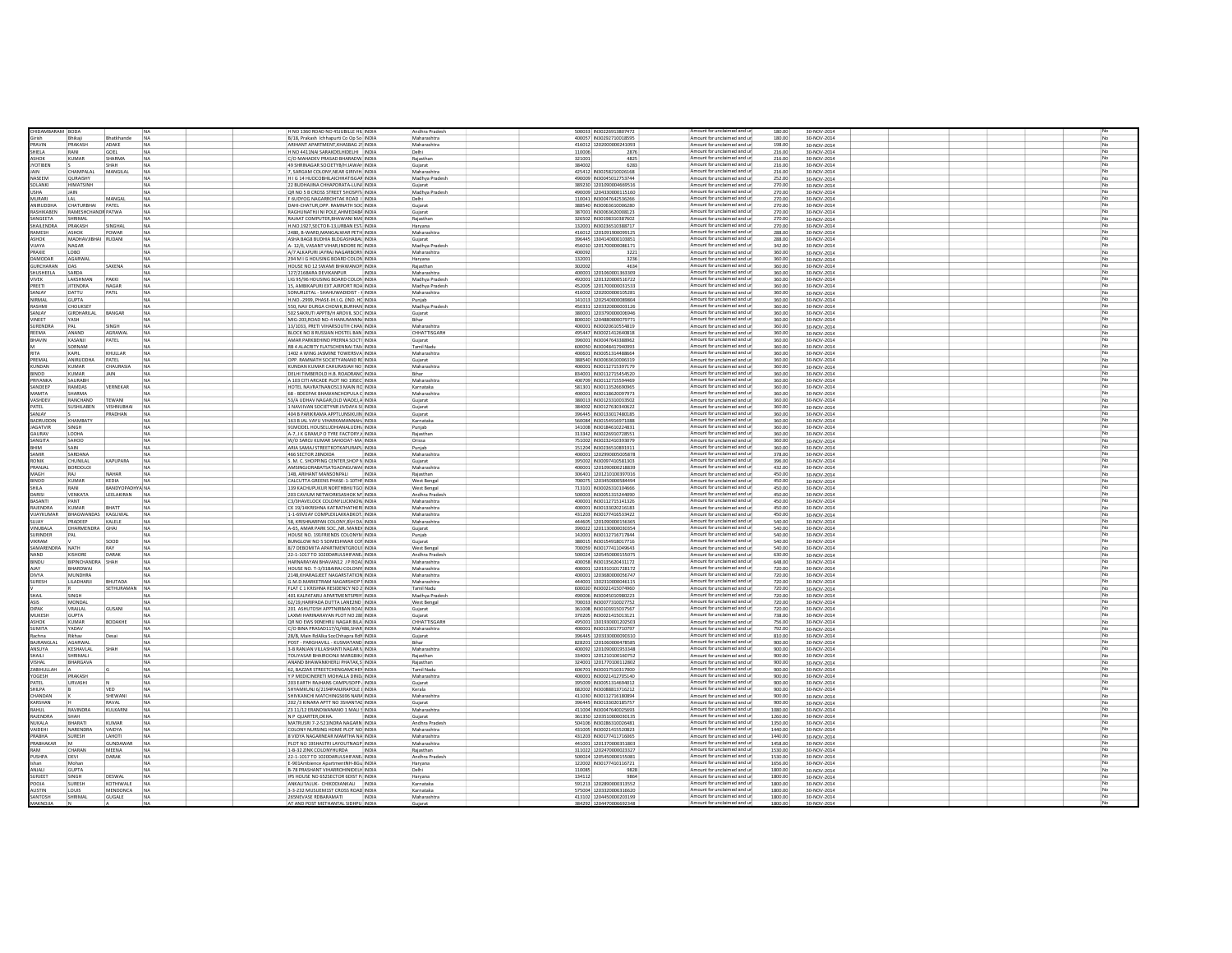| HIDAMBARAM BODA  |                     |                        |                | H NO 1360 ROAD NO 45JUBILLE HIL INDIA      | Andhra Prades       | 500033 IN30226913807472 |                         | Amount for unclaimed and ur | 180.00  | 30-NOV-2014 |  |  |    |
|------------------|---------------------|------------------------|----------------|--------------------------------------------|---------------------|-------------------------|-------------------------|-----------------------------|---------|-------------|--|--|----|
| <b>Sirich</b>    | Bhikaii             | Bhatkhande             | N <sub>A</sub> | B/18, Prakash Ichhapurti Co Op Soi INDIA   | Maharashtra         | 400057 IN30292710018595 |                         | Amount for unclaimed and ur | 180.00  | 30-NOV-2014 |  |  |    |
| PRAVIN           | PRAKASH             | ADAKE                  | <b>NA</b>      | ARIHANT APARTMENT.KHASBAG 25 INDIA         | Maharashtra         |                         | 416012 1202000000241093 | Amount for unclaimed and ur | 198.00  | 30-NOV-2014 |  |  |    |
| <b>SHIELA</b>    | RANI                | GOEL                   | <b>NA</b>      | H NO 4411NAI SARAKDELHIDELHI INDIA         | Delhi               | 110006                  | 2876                    | Amount for unclaimed and ur | 216.00  | 30-NOV-2014 |  |  |    |
|                  |                     |                        |                |                                            |                     |                         |                         | Amount for unclaimed and ur |         |             |  |  |    |
| <b>ASHOK</b>     | KUMAR               | SHARMA                 | NA             | C/O MAHADEV PRASAD BHARADW. INDIA          | Raiasthan           | 321001                  | 4825                    | Amount for unclaimed and u  | 216.00  | 30-NOV-2014 |  |  |    |
| <b>IYOTIBEN</b>  |                     | SHAH                   | <b>NA</b>      | 49 SHRINAGAR SOCIETYB/H JAWAH INDIA        | Gujarat             | 384002                  | 6283                    |                             | 216.00  | 30-NOV-2014 |  |  |    |
|                  | CHAMPALAL           | MANGILAL               | <b>NA</b>      | 7. SARGAM COLONY NEAR GIRIVIH INDIA        | Maharashtra         | 425412 IN30258210026168 |                         | Amount for unclaimed and ur | 216.00  | 30-NOV-2014 |  |  |    |
| NASEEM           | QURAISHY            |                        |                | H I G 14 HUDCOBHILAICHHATISGAF INDIA       | Madhya Pradesi      | 490009 IN30045012753744 |                         | Amount for unclaimed and u  | 252.00  | 30-NOV-2014 |  |  |    |
| SOLANKI          | HIMATSINH           |                        | <b>NA</b>      | 22 BUDHAJINA CHHAPORATA-LUN/ INDIA         | Gujarat             | 389230 1201090004669516 |                         | Amount for unclaimed and ur | 270.00  | 30-NOV-2014 |  |  |    |
| <b>HA</b>        | <b>JAIN</b>         |                        |                | OR NO 5 B CROSS STREET SHOSPIT/ INDIA      | Madhya Pradesh      | 490009 120433000011516  |                         | Amount for unclaimed and ur | 270.00  | 30-NOV-2014 |  |  |    |
| <b>IURARI</b>    | LAL                 | MANGAL                 | NA             | F 6UDYOG NAGARROHTAK ROAD I INDIA          | Delhi               | 110041 IN30047642536266 |                         | Amount for unclaimed and ur | 270.00  | 30-NOV-2014 |  |  |    |
|                  |                     |                        |                |                                            |                     |                         |                         | Amount for unclaimed and ur |         |             |  |  |    |
| ANIRUDDHA        | CHATURBHAI          | PATEL                  | <b>NA</b>      | DAHI-CHATUR, OPP. RAMNATH SOC INDIA        | Gujarat             | 388540 IN30063610006280 |                         | Amount for unclaimed and ur | 270.00  | 30-NOV-2014 |  |  |    |
| ASHIKABEN        | RAMESHCHANDF PATWA  |                        | NA             | RAGHUNATHJI NI POLE.AHMEDABA INDIA         | Guiarat             | 387001 IN30063620008123 |                         |                             | 270.00  | 30-NOV-2014 |  |  |    |
| SANGEETA         | SHRIMAL             |                        | <b>NA</b>      | RAJAAT COMPUTER, BHAWANI MAI INDIA         | Rajasthan           | 326502 IN30198310387602 |                         | Amount for unclaimed and u  | 270.00  | 30-NOV-2014 |  |  |    |
| <b>IAILENDRA</b> | PRAKASH             | SINGHA                 | NA             | H.NO.1927, SECTOR-13, URBAN EST. INDIA     | Haryana             | 132001 IN3023651038871  |                         | Amount for unclaimed and ur | 270.00  | 30-NOV-2014 |  |  |    |
| <b>AMESH</b>     | <b>ASHOK</b>        | POWAR                  | <b>NA</b>      | 2480, B-WARD, MANGALWAR PETH INDIA         | Maharashtra         | 416012 1201091900099125 |                         | Amount for unclaimed and ur | 288.00  | 30-NOV-2014 |  |  |    |
| SHOK             | MADHAVJIBHAI RUDANI |                        | <b>NA</b>      | ASHA BAGS BUDHIA BLDGASHABAL INDIA         | Gujarat             | 396445 130414000010385: |                         | Amount for unclaimed and un | 288.00  | 30-NOV-2014 |  |  |    |
|                  |                     |                        |                |                                            |                     |                         |                         |                             |         |             |  |  |    |
| <b>UAYA</b>      | NAGAR               |                        |                | A-12/6, VASANT VIHAR, INDORE RC INDIA      | Madhya Pradesh      | 456010 1201700000086171 |                         | Amount for unclaimed and ur | 342.00  | 30-NOV-2014 |  |  |    |
| PRAXIE           | <b>LORO</b>         |                        | <b>NA</b>      | A/7 ALKAPURI JAYRAJ NAGARBORI\ INDIA       | Maharashtra         | 400092                  | 3221                    | Amount for unclaimed and ur | 360.00  | 30-NOV-2014 |  |  |    |
| AMODAR           | AGARWAL             |                        |                | 294 M I G HOUSING BOARD COLON INDIA        | Haryana             | 132001                  | 3236                    | Amount for unclaimed and un | 360.00  | 30-NOV-2014 |  |  |    |
| <b>URCHARAN</b>  | DAS                 | SAXENA                 | <b>NA</b>      | HOUSE NO 12 SWAMI BHAWANOP INDIA           | Raiasthan           | 302002                  | 4634                    | Amount for unclaimed and ur | 360.00  | 30-NOV-2014 |  |  |    |
| HUSHEELA         | SARDA               |                        |                | 127/216BARA DEVIKANPUR<br>INDIA            | Maharashtra         | 400001 1201060001363309 |                         | Amount for unclaimed and ur | 360.00  | 30-NOV-2014 |  |  |    |
| <b>JIVEK</b>     | <b>LAKSHMAN</b>     | PAKKL                  | <b>NA</b>      | LIG 95/96 HOLISING BOARD COLON INDIA       | Madhya Pradesh      | 492001 1201320000516722 |                         | Amount for unclaimed and ur | 360.00  | 30-NOV-2014 |  |  |    |
|                  |                     |                        |                |                                            |                     |                         |                         |                             |         |             |  |  |    |
| PREETI           | <b>JITENDRA</b>     | NAGAR                  | NA             | 15, AMBIKAPURI EXT.AIRPORT ROA INDIA       | Madhya Pradesh      | 452005 1201700000031533 |                         | Amount for unclaimed and ur | 360.00  | 30-NOV-2014 |  |  | No |
| SANJAY           | DATTU               | PATIL                  | <b>NA</b>      | SONURLETAL - SHAHUWADIDIST - I INDIA       | Maharashtra         | 416002 1202000000105281 |                         | Amount for unclaimed and ur | 360.00  | 30-NOV-2014 |  |  |    |
| <b>JIRMAI</b>    | <b>GUPTA</b>        |                        | <b>NA</b>      | H NO -2999 PHASE-IH LG (IND HC INDIA       | Puniab              | 141013 1202540000089804 |                         | Amount for unclaimed and ur | 360.00  | 30-NOV-2014 |  |  |    |
| RASHMI           | CHOUKSEY            |                        | <b>NA</b>      | 550, NAV DURGA CHOWK, BURHAN INDIA         | Madhya Pradesh      | 450331 1203320000003126 |                         | Amount for unclaimed and ur | 360.00  | 30-NOV-2014 |  |  |    |
| ANJAY            | GIRDHARILAL         | BANGAR                 | <b>NA</b>      | 502 SAKRUTI APPTB/H AROVIL SOC INDIA       | Gujarat             | 380001 1203790000006946 |                         | Amount for unclaimed and ur | 360.00  | 30-NOV-2014 |  |  |    |
| VINEET           | YASH                |                        |                | MIG-203.ROAD NO-4 HANUMANN/ INDIA          | Bihar               | 800020 120488000007977  |                         | Amount for unclaimed and ur | 360.00  | 30-NOV-2014 |  |  |    |
|                  |                     |                        |                |                                            |                     |                         |                         |                             |         |             |  |  |    |
| URENDRA          | PAL                 | SINGH                  |                | 13/1033, PRETI VIHARSOUTH CHAN INDIA       | Maharashtra         | 400001 IN30020610554819 |                         | Amount for unclaimed and ur | 360.00  | 30-NOV-2014 |  |  |    |
| REEMA            | ANAND               | AGRAWAL                | NA             | BLOCK NO 8 RUSSIAN HOSTEL BAN INDIA        | CHHATTISGARI        | 495447 IN30021412640818 |                         | Amount for unclaimed and ur | 360.00  | 30-NOV-2014 |  |  |    |
| BHAVIN           | KASANJI             | PATEL                  | <b>NA</b>      | AMAR PARKBEHIND PRERNA SOCTI INDIA         | Guiarat             | 396001 IN30047643388962 |                         | Amount for unclaimed and ur | 360.00  | 30-NOV-2014 |  |  |    |
|                  | SORNAM              |                        |                | RB 4 ALACRITY FLATSCHENNAI TAN INDIA       | Tamil Nadu          | 600050 IN30048417940993 |                         | Amount for unclaimed and u  | 360.00  | 30-NOV-2014 |  |  |    |
|                  | KAPIL               | KHULLAR                | NA             | 1402 A WING JASMINE TOWERSVA INDIA         | Maharashtra         | 400601 IN30051314488664 |                         | Amount for unclaimed and u  | 360.00  | 30-NOV-2014 |  |  |    |
| <b>REMA</b>      | ANIRUDDHA           | PATEL                  |                | OPP. RAMNATH SOCIETYANAND RC INDIA         |                     | 388540 IN30063610006319 |                         | Amount for unclaimed and ur | 360.00  |             |  |  |    |
|                  |                     |                        |                |                                            | Gujarat             |                         |                         |                             |         | 30-NOV-2014 |  |  |    |
| UNDAN            | KUMAR               | CHAURASIA              | NA             | KUNDAN KUMAR CAHURASIAH NO INDIA           | Maharashtra         | 400001 IN30112715397179 |                         | Amount for unclaimed and u  | 360.00  | 30-NOV-2014 |  |  |    |
| <b>GONIB</b>     | <b>KUMAR</b>        | JAIN                   | <b>NA</b>      | DELHI TIMBEROLD H.B. ROADRANC INDIA        | Bihar               | 834001 IN30112715454520 |                         | Amount for unclaimed and ur | 360.00  | 30-NOV-2014 |  |  |    |
| <b>RIYANKA</b>   | <b>SAURABI</b>      |                        |                | A 103 CITI ARCADE PLOT NO 19SEC INDIA      | Maharashtra         | 400709 IN30112715594469 |                         | Amount for unclaimed and u  | 360.00  | 30-NOV-2014 |  |  |    |
| ANDEEP           | RAMDAS              | VERNEKAR               | <b>NA</b>      | HOTEL NAVRATNANOS13 MAIN RC INDIA          | Karnataka           | 581301 IN30113526690965 |                         | Amount for unclaimed and u  | 360.00  | 30-NOV-2014 |  |  |    |
| <b>AMTA</b>      | SHARMA              |                        |                | 68 - BDEEPAK BHAWANCHOPULA C INDIA         | Maharashtra         | 400001 IN30118620097973 |                         | Amount for unclaimed and u  | 360.00  | 30-NOV-2014 |  |  |    |
|                  |                     |                        |                |                                            |                     |                         |                         |                             |         |             |  |  |    |
| <b>ASHDEV</b>    | RANCHAND            | TEWANI                 | <b>NA</b>      | 53/A UDHAV NAGAR OLD WADELA INDIA          | Gujarat             | 380013 IN30123310033502 |                         | Amount for unclaimed and ur | 360.00  | 30-NOV-2014 |  |  |    |
| ATEL             | SUSHILABEN          | <b>VISHNUBHAI</b>      | <b>NA</b>      | 1 NAVJIVAN SOCIETYNR JIVDAYA S( INDIA      | Gujarat             | 384002 IN30127630340622 |                         | Amount for unclaimed and un | 360.00  | 30-NOV-2014 |  |  |    |
| ANJAY            |                     | RADHAN                 |                | 404 B PARIKRAMA APPTLUNSIKUIN INDIA        | Gujarat             | 396445 IN30133017480185 |                         | Amount for unclaimed and ur | 360.00  | 30-NOV-2014 |  |  |    |
| BADRUDDIN        | KHAMRATY            |                        |                | 163 B JAL VAYU VIHARKAMANNAH INDIA         | Karnataka           | 560084 IN30154916971088 |                         | Amount for unclaimed and ur | 360.00  | 30-NOV-2014 |  |  |    |
| <b>AGATVIR</b>   | SINGH               |                        | NA             | 91MODEL HOUSELUDHIANALUDHI INDIA           | Punjab              | 141008 IN30184610224831 |                         | Amount for unclaimed and un | 360.00  | 30-NOV-2014 |  |  |    |
| <b>ALIRAV</b>    | <b>LODHA</b>        |                        |                |                                            | Rajasthan           |                         |                         | Amount for unclaimed and ur | 360.00  |             |  |  |    |
|                  |                     |                        | <b>NA</b>      | A-7. J K GRAM.P O TYRE FACTORY. INDIA      |                     | 313342 IN30226910728551 |                         |                             |         | 30-NOV-2014 |  |  |    |
| ANGITA           | SAHOO               |                        | NA             | W/O SAROJ KUMAR SAHOOAT-MA INDIA           | Orissa              | 751002 IN30232410393079 |                         | Amount for unclaimed and ur | 360.00  | 30-NOV-2014 |  |  |    |
| MIHR             | <b>SAIN</b>         |                        | <b>NA</b>      | ARIA SAMAJ STREETKOTKAPURAPU INDIA         | Punjah              | 151204 IN30236510891911 |                         | Amount for unclaimed and ur | 360.00  | 30-NOV-2014 |  |  |    |
| SAMIR            | SARDANA             |                        |                | 466 SECTOR 28NOIDA<br>INDIA                | Maharashtra         | 400001 1202990005005878 |                         | Amount for unclaimed and ur | 378.00  | 30-NOV-2014 |  |  |    |
| RONIK            | CHUNILAL            | <b>KAPUPARA</b>        | <b>NA</b>      | S. M. C. SHOPPING CENTER SHOP N INDIA      | Guiarat             | 395002 IN30097410581303 |                         | Amount for unclaimed and ur | 396.00  | 30-NOV-2014 |  |  |    |
|                  |                     |                        |                |                                            |                     |                         |                         |                             |         |             |  |  |    |
| PRANJAJ          | <b>BORDOLOI</b>     |                        | <b>NA</b>      | AMSINGJORABATSATGAONGUWAI INDIA            | Maharashtra         | 400001 1201090000218839 |                         | Amount for unclaimed and ur | 432.00  | 30-NOV-2014 |  |  |    |
| MAGH             | RAI                 | <b>NAHAR</b>           | <b>NA</b>      | 14B. ARIHANT MANSONPALI<br>INDIA           | Rajasthan           | 306401 1201210100397016 |                         | Amount for unclaimed and ur | 450.00  | 30-NOV-2014 |  |  |    |
| <b>BINOD</b>     | KUMAR               | KEDIA                  | <b>NA</b>      | CALCUTTA GREENS PHASE-1-10THF INDIA        | West Bengal         | 700075 1203450000584494 |                         | Amount for unclaimed and ur | 450.00  | 30-NOV-2014 |  |  |    |
| A IIHA           | RANI                | <b>RANDYOPADHYA NA</b> |                | 139 KACHUPUKUR NORTHBHUTGO INDIA           | West Bengal         | 713101 IN30026310104666 |                         | Amount for unclaimed and ur | 450.00  | 30-NOV-2014 |  |  |    |
| ARISI            | VENKATA             | LEELAKIRAN             | <b>NA</b>      | 203 CAVIUM NETWORKSASHOK MI INDIA          | Andhra Prades       | 500003 IN30051315244090 |                         | Amount for unclaimed and ur | 450.00  | 30-NOV-2014 |  |  |    |
|                  |                     |                        |                |                                            |                     |                         |                         | Amount for unclaimed and ur |         |             |  |  |    |
| BASANT           | PANT                |                        |                | C3/3HAVELOCK COLONYLUCKNOW INDIA           | Maharashtra         | 400001 IN30112715141326 |                         |                             | 450.00  | 30-NOV-2014 |  |  |    |
| RAJENDRA         | KUMAR               | RHATT                  |                | CK 19/14KRISHNA KATRATHATHERI INDIA        | Maharashtra         | 400001 IN30133020216183 |                         | Amount for unclaimed and ur | 450.00  | 30-NOV-2014 |  |  |    |
| <b>UAYKUMAR</b>  | BHAGWANDAS KAGLIWAL |                        | <b>NA</b>      | 1-1-69VIJAY COMPLEXLAKKADKOT. INDIA        | Maharashtra         | 431203 IN30177416533422 |                         | Amount for unclaimed and ur | 450.00  | 30-NOV-2014 |  |  |    |
| UJAY             | PRADEEP             | KALELE                 | <b>NA</b>      | 58, KRISHNARPAN COLONY, B\H DA INDIA       | Maharashtra         | 444605 120109000015636  |                         | Amount for unclaimed and ur | 540.00  | 30-NOV-2014 |  |  |    |
| INUBALA          | DHARMENDRA          |                        |                | A-65, AMAR PARK SOC., NR. MANEK INDIA      | Gujarat             | 390022 120113000003035  |                         | Amount for unclaimed and ur | 540.00  | 30-NOV-2014 |  |  |    |
| RINDER           | PAL                 |                        | <b>NA</b>      | HOUSE NO. 191FRIENDS COLONYM INDIA         |                     | 142001 IN30112716717844 |                         | Amount for unclaimed and u  | 540.00  | 30-NOV-2014 |  |  |    |
|                  |                     |                        |                |                                            | Punjab              |                         |                         |                             |         |             |  |  |    |
| VIKRAM           |                     | SOOD                   | <b>NA</b>      | BUNGLOW NO 5 SOMESHWAR COI INDIA           | Gujarat             | 380015 IN30154918017716 |                         | Amount for unclaimed and ur | 540.00  | 30-NOV-2014 |  |  |    |
| AMARENDRA        | NATH                |                        | <b>NA</b>      | 8/7 DEBOMITA APARTMENTGROUI INDIA          | West Benga          | 700059 IN30177411049643 |                         | Amount for unclaimed and u  | 540.00  | 30-NOV-2014 |  |  |    |
| NAND             | KISHORE             | DARAK                  | <b>NA</b>      | 22-1-1017 TO 1020DARULSHIFANE INDIA        | Andhra Pradesh      | 500024 1205450000155075 |                         | Amount for unclaimed and un | 630.00  | 30-NOV-2014 |  |  |    |
| <b>BINDU</b>     | BIPINCHANDRA        | SHAH                   |                | ARNARAYAN BHAVAN12 JP ROAL INDIA           | Maharashtra         | 400058 IN30135620431172 |                         | Amount for unclaimed and un | 648.00  | 30-NOV-2014 |  |  |    |
|                  | BHARDWA             |                        |                | HOUSE NO. T-3/31BAIRAJ COLONYI INDIA       | Maharashtra         | 400001 1201910101728172 |                         | Amount for unclaimed and ur | 720.00  | 30-NOV-2014 |  |  |    |
| DIVYA            | <b>MUNDHRA</b>      |                        |                | 2148.KHARAGJEET NAGARSTATION INDIA         | Maharashtra         | 400001 1203680000056747 |                         | Amount for unclaimed and un | 720.00  | 30-NOV-2014 |  |  |    |
|                  |                     |                        |                |                                            |                     |                         |                         |                             |         |             |  |  |    |
| SURESH           | LILADHARJI          | BHUTADA                | NA             | G.M.D.MARKETRAM NAGARSHOP I INDIA          | Maharashtra         | 444001 1302310000046119 |                         | Amount for unclaimed and ur | 720.00  | 30-NOV-2014 |  |  |    |
|                  |                     | SETHURAMAN             | <b>NA</b>      | FLAT C 1 KRISHNA RESIDENCY NO 2 INDIA      | Tamil Nadu          | 600020 IN30021415074960 |                         | Amount for unclaimed and ur | 720.00  | 30-NOV-2014 |  |  |    |
|                  | SINGH               |                        |                | 401 KALPATARU APARTMENTSPRIY INDIA         | Madhya Pradesh      | 490006 IN30045010980223 |                         | Amount for unclaimed and un | 720.00  | 30-NOV-2014 |  |  |    |
| 2124             | MONDAL              |                        | <b>NA</b>      | 62/19 HARIPADA DUTTA LANE2ND INDIA         | West Bengal         | Z00033 IN30077310027752 |                         | Amount for unclaimed and ur | 720.00  | 30-NOV-2014 |  |  |    |
| DIPAK            | VRAJLAL             | GUSANI                 | NA             | 201 ASHUTOSH APPTNIRBAN ROAL INDIA         | Gujarat             | 361008 IN30103915037567 |                         | Amount for unclaimed and ur | 720.00  | 30-NOV-2014 |  |  |    |
| MUKESH           | GUPTA               |                        | INA            | LAXMLHARINARAYAN PLOT NO 285 INDIA         | Guiarat             | 370205 IN30021415013121 |                         | Amount for unclaimed and ur | 738.00  | 30-NOV-2014 |  |  |    |
| ASHOK            | KUMAR               |                        |                | OR NO EWS 90NEHRU NAGAR BILA INDIA         | <b>CHHATTISGARE</b> |                         |                         | Amount for unclaimed and ur |         |             |  |  |    |
|                  |                     | BODAKHE                | NA             |                                            |                     | 495001 1301930001202503 |                         |                             | 756.00  | 30-NOV-2014 |  |  |    |
| <b>SUMITA</b>    | YADAV               |                        |                | C/O BINA PRASAD117/Q/486.SHAR INDIA        | Maharashtra         | 400001 IN30133017710797 |                         | Amount for unclaimed and ur | 792.00  | 30-NOV-2014 |  |  |    |
| Rachna           | Rikhay              | Desai                  | <b>NA</b>      | 28/B. Main RdAlka SocChhapra RdN INDIA     | Gujarat             | 396445 1203330000090310 |                         | Amount for unclaimed and ur | 810.00  | 30-NOV-2014 |  |  |    |
| BAJRANGLAL       | AGARWAL             |                        | <b>NA</b>      | POST - PARGHAVILL - KUSMATAND INDIA        | Bihar               | 828201 1201060000478585 |                         | Amount for unclaimed and ur | 900.00  | 30-NOV-2014 |  |  |    |
| ANSUYA           | KESHAVLAL           | SHAH                   | <b>NA</b>      | 3-B RANJAN VILLASHANTI NAGAR N INDIA       | Maharashtra         | 400092 1201090001953348 |                         | Amount for unclaimed and ur | 900.00  | 30-NOV-2014 |  |  |    |
| HAILI            | SHRIMALI            |                        | <b>NA</b>      | TOLIYASAR BHAIROONJI MARGBIK/ INDIA        | Rajasthan           | 334001 1201210100160752 |                         | Amount for unclaimed and ur | 900.00  | 30-NOV-2014 |  |  |    |
|                  |                     |                        |                |                                            |                     |                         |                         |                             |         |             |  |  |    |
| VISHAL           | BHARGAVA            |                        | <b>NA</b>      | ANAND BHAWANKHERLI PHATAK.S INDIA          | Raiasthan           | 324001 1201770100112802 |                         | Amount for unclaimed and ur | 900.00  | 30-NOV-2014 |  |  |    |
| ABIHULLAH        |                     |                        | <b>NA</b>      | 62. BAZZAR STREETCHENGAMCHEN INDIA         | Tamil Nadu          | 606701 IN30017510317000 |                         | Amount for unclaimed and ur | 900.00  | 30-NOV-2014 |  |  |    |
| YOGESH           | PRAKASH             |                        | NA             | Y P MEDICINERETI MOHALLA DINDI INDIA       | Maharashtra         | 400001 IN30021412705140 |                         | Amount for unclaimed and ur | 900.00  | 30-NOV-2014 |  |  |    |
| ATEL             | URVASHI             |                        | NA             | 203 EARTH RAJHANS CAMPUSOPP / INDIA        | Gujarat             | 395009 IN30051314694012 |                         | Amount for unclaimed and u  | 900.00  | 30-NOV-2014 |  |  |    |
| HILPA            |                     | VED                    | <b>NA</b>      | SHYAMKUNJ 6/2194PANJIRAPOLE LINDIA         | Kerala              | 682002 IN30088813716212 |                         | Amount for unclaimed and ur | 900.00  | 30-NOV-2014 |  |  |    |
| <b>HANDAN</b>    |                     | SHEWANI                | NA             | SHIVKANCHI MATCHINGS696 NARA INDIA         | Maharashtra         | 411030 IN3011271618089  |                         | Amount for unclaimed and ur | 900.00  | 30-NOV-2014 |  |  |    |
|                  |                     |                        |                |                                            |                     |                         |                         | Amount for unclaimed and u  |         |             |  |  |    |
| ARSHAN           |                     | RAVAL                  | <b>NA</b>      | 202 /3 KINARA APTT NO 3SHANTAE INDIA       | Gujarat             | 396445 IN30133020185757 |                         |                             | 900.00  | 30-NOV-2014 |  |  |    |
| <b>AHUL</b>      | RAVINDRA            | KULKARNI               | <b>NA</b>      | Z3 11/12 ERANDWANANO 1 MALI S INDIA        | Maharashtra         | 411004 IN30047640025693 |                         | Amount for unclaimed and u  | 1080.00 | 30-NOV-2014 |  |  |    |
| AJENDRA          | SHAH                |                        |                | N P QUARTER, OKHA.                         | Gujarat             | 361350 1203510000030135 |                         | Amount for unclaimed and ur | 1260.00 | 30-NOV-2014 |  |  |    |
| NUKALA           | BHARAT              | KUMAR                  | <b>NA</b>      | MATRUSRI 7-2-521INDRA NAGARN INDIA         | Andhra Pradesi      | 504106 IN30286310026481 |                         | Amount for unclaimed and ur | 1350.00 | 30-NOV-2014 |  |  |    |
| <b>AIDEHI</b>    | NARENDRA            | VAIDYA                 | <b>NA</b>      | COLONY NURSING HOME PLOT NO INDIA          | Maharashtra         | 431005 IN30021415520823 |                         | Amount for unclaimed and un | 1440.00 | 0-NOV-2014  |  |  |    |
| RABHA            | SURESH              | LAHOTI                 |                | 8 VIDYA NAGARNEAR MAMTHA NA INDIA          |                     | 431203 IN30177411716065 |                         | Amount for unclaimed and ur | 1440.00 | 30-NOV-2014 |  |  |    |
| PRARHAKAR        | <b>M</b>            | GUNDAWAR               | NA             | PLOT NO 19SHASTRI LAYOUTNAGP INDIA         | Maharashtra         |                         |                         | Amount for unclaimed and un | 1458.00 |             |  |  |    |
|                  |                     |                        |                |                                            | Maharashtra         | 441001 1201370000351803 |                         |                             |         | 30-NOV-2014 |  |  |    |
|                  | CHARAN              | MEENA                  | NA             | 1-B-32 ZINK COLONYHURDA<br>INDIA           | Rajasthan           | 311022 120247000002332  |                         | Amount for unclaimed and un | 1530.00 | 30-NOV-2014 |  |  |    |
| PLISHPA          | DEVI                | DARAK                  | <b>NA</b>      | 22-1-1017 TO 1020DARULSHIFANE INDIA        | Andhra Pradesh      | 500024 1205450000155081 |                         | Amount for unclaimed and ur | 1530.00 | 30-NOV-2014 |  |  |    |
|                  | Moha                |                        |                | E-901Ambience ApartmentNH-8Gu INDIA        | Haryana             | 122002 IN30177410116721 |                         | Amount for unclaimed and ur | 1656.00 | 30-NOV-2014 |  |  |    |
| <b>ANIALL</b>    | GUPTA               |                        | <b>NA</b>      | <b>B-78 PRASHANT VIHARROHINIDELH INDIA</b> | Delhi               | 110085                  | 9828                    | Amount for unclaimed and ur | 1800.00 | 30-NOV-2014 |  |  |    |
| URJEET           | SINGH               | <b>DESWAL</b>          |                | IPS HOUSE NO 652SECTOR 6DIST P/ INDIA      |                     | 134112                  | 9864                    | Amount for unclaimed and ur | 1800.00 |             |  |  |    |
|                  |                     |                        | NA             |                                            | Haryana             |                         |                         |                             |         | 30-NOV-2014 |  |  |    |
| <b>POOJA</b>     | SURESH              | KOTHIWALE              | <b>NA</b>      | ANKALITALUK- CHIKODIANKALI INDIA           | Karnataka           |                         | 591213 1202890000313552 | Amount for unclaimed and ur | 1800.00 | 30-NOV-2014 |  |  |    |
| <b>ALISTIN</b>   | LOUIS               | MENDONCA               | <b>NA</b>      | 3-3-232 MUSUEM1ST CROSS ROAD INDIA         | Karnataka           | 575004 1203320006316620 |                         | Amount for unclaimed and ur | 1800.00 | 30-NOV-2014 |  |  |    |
| SANTOSH          | SHRIMAL             | GUGALE                 |                | 265NEVASE RDBARAMATI<br>INDIA              | Maharashtra         | 413102 1204450000203199 |                         | Amount for unclaimed and ur | 1800.00 | 30-NOV-2014 |  |  |    |
|                  |                     |                        |                | IT AND POST METHANTAL SIDHPI               |                     |                         |                         | ount for u<br>ed and ur     |         |             |  |  |    |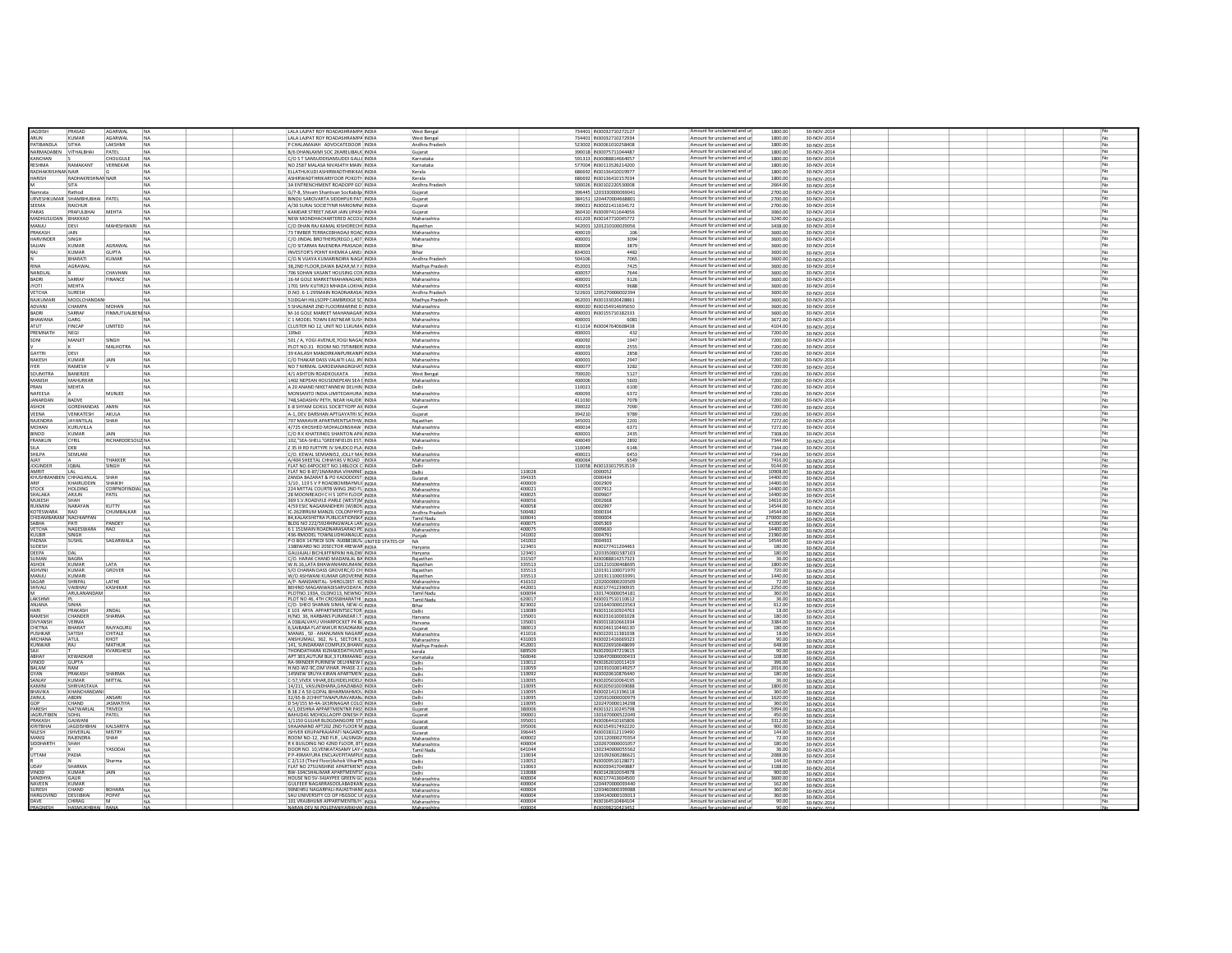|                        | PRASA                        | <b>AGARWAI</b>          | NA        | LALA LAJPAT ROY ROADASHRAMPA INDI                                             |              | West Benga         |                  | 734401 IN3003271027212               | Amount for une<br>nad and u                                     | 1800.0            | 80-NOV-201                 |  |  |    |  |
|------------------------|------------------------------|-------------------------|-----------|-------------------------------------------------------------------------------|--------------|--------------------|------------------|--------------------------------------|-----------------------------------------------------------------|-------------------|----------------------------|--|--|----|--|
| ARLIN                  | KUMAR                        | <b>AGARWAL</b>          | NA        | LALA LAJPAT ROY ROADASHRAMPA INDIA                                            |              | West Benga         |                  | 734401 IN30032710272934              | Amount for unclaimed and ur                                     | 1800.00           | 30-NOV-2014                |  |  |    |  |
| ATIRANDI A             | SITHA                        | LAKSHMI                 | NA        | P CHALAMAIAH ADVOCATEDOOR INDIA                                               |              | Andhra Pradesh     |                  | 523002 IN30061010258408              | Amount for unclaimed and ur                                     | 1800.00           | 30-NOV-2014                |  |  |    |  |
| <b>ARMADABEN</b>       | VITHALBHAI                   | PATEL                   | <b>NA</b> | B/6 DHANLAXMI SOC 2KARELIBAU( INDIA                                           |              | Guiarat            |                  | 390018 IN30075711044487              | Amount for unclaimed and ur                                     | 1800.00           |                            |  |  |    |  |
| <b>ANCHAN</b>          |                              | CHOUGULE                |           | C/O S T SANSUDDISANSUDDI GALLI INDIA                                          |              |                    |                  | 591313 IN30088814664057              | Amount for unclaimed and ur                                     | 1800.00           | 30-NOV-2014                |  |  |    |  |
|                        |                              |                         | NA        |                                                                               |              | Karnataka          |                  |                                      |                                                                 |                   | 30-NOV-2014                |  |  |    |  |
| ESHMA                  | RAMAKANT                     | VERNEKAR                | <b>NA</b> | NO 2587 MALASA NIVAS4TH MAIN INDIA                                            |              | Karnataka          |                  | 577004 IN30113526214200              | Amount for unclaimed and ur                                     | 1800.00           | 30-NOV-2014                |  |  |    |  |
| ADHAKRISHNAP NAIR      |                              |                         | <b>NA</b> | ELLATHUKUDI ASHIRWADTHRIKKAI INDIA                                            |              | Kerala             |                  | 686692 IN30136410019977              | Amount for unclaimed and ur                                     | 1800.00           | 30-NOV-2014                |  |  |    |  |
| <b>ARISH</b>           | RADHAKRISHNAP NAJP           |                         | <b>NA</b> | ASHIRWADTHRIKARIYOOR POKOTI- INDIA                                            |              | Kerala             |                  | 686692 IN30136410157034              | Amount for unclaimed and ur                                     | 1800.00           | 30-NOV-2014                |  |  |    |  |
|                        | SITA                         |                         | NA        | 3A ENTRENCHMENT ROADOPP GO' INDIA                                             |              | Andhra Pradesh     |                  | 500026 IN30102220530008              | Amount for unclaimed and ur                                     | 2664.00           | 30-NOV-2014                |  |  |    |  |
| mrata                  | Rathod                       |                         | NA        | G/7-8. Shivam Shantivan Sockabilo INDIA                                       |              | Gujarat            |                  | 396445 120333000006904:              | Amount for unclaimed and ur                                     | 2700.00           | 30-NOV-2014                |  |  |    |  |
| RVESHKUMAR             | SHAMBHUBHAI PATE             |                         | NA        | BINDU SAROVARTA SIDDHPUR PAT. INDIA                                           |              | Gujarat            |                  | 384151 120447000466880               | Amount for unclaimed and ur                                     | 2700.00           | 30-NOV-2014                |  |  |    |  |
|                        | RAICHUR                      |                         |           | A/30 SURAI SOCIETYNR HARIOMN/ INDIA                                           |              |                    |                  | 390021 IN30021411634172              | Amount for unclaimed and ur                                     | 2700.00           | 30-NOV-2014                |  |  |    |  |
| SEEMA                  |                              |                         | NA        |                                                                               |              | Gujarat            |                  |                                      |                                                                 |                   |                            |  |  |    |  |
| ARAS                   | PRAFULBHAI                   | MEHTA                   |           | KAMDAR STREET.NEAR JAIN UPASH INDIA                                           |              | Gujarat            |                  | 360410 IN30097411644056              | Amount for unclaimed and u                                      | 3060.00           | 30-NOV-2014                |  |  |    |  |
| AADHUSUDAN             | BHAKKAD                      |                         |           | NEW MONDHACHARTERED ACCOU INDIA                                               |              | Maharashtra        |                  | 431203 IN30147710045772              | Amount for unclaimed and u                                      | 3240.00           | 30-NOV-2014                |  |  |    |  |
| WJU                    | DEVI                         | MAHESHWARI              | NA        | C/O DHAN RAJ KAMAL KISHORECHI INDIA                                           |              | Rajasthan          |                  | 342001 120121010002905               | Amount for unclaimed and ur                                     | 3438.00           | 30-NOV-2014                |  |  |    |  |
| RAKASH                 | JAIN                         |                         |           | 73 TIMBER TERRACEBHADAJI ROAC INDIA                                           |              | Maharashtra        | 400019           |                                      | Amount for unclaimed and ur                                     | 3600.00           | 30-NOV-2014                |  |  |    |  |
| <b>ARVINDER</b>        | SINGE                        |                         | <b>NA</b> | C/O JINDAL BROTHERS(REGD.).407 INDIA                                          |              | Maharashtra        | 400001           | 3094                                 | Amount for unclaimed and un                                     | 3600.00           | 30-NOV-2014                |  |  |    |  |
| MALLA                  | KUMA                         | AGRAWAL                 | NA        | C/O SITARMA RAJENDRA PRASADA: INDIA                                           |              | Bihar              | 800004           | 3879                                 | Amount for unclaimed and un                                     | 3600.00           | 30-NOV-2014                |  |  |    |  |
|                        | KUMAR                        | GUPTA                   | <b>NA</b> | INVESTOR'S POINT KHEMKA LANEJ INDIA                                           |              | Rihar              | 834001           | 4482                                 | Amount for unclaimed and ur                                     | 3600.00           | 30-NOV-2014                |  |  |    |  |
|                        |                              |                         |           |                                                                               |              |                    |                  |                                      |                                                                 |                   |                            |  |  |    |  |
|                        | <b>BHARATI</b>               | KUMAR                   | NA        | C/O.N VIJAYA KUMARINDIRA NAGA INDIA                                           |              | Andhra Pradesh     | 504106           | 7065                                 | Amount for unclaimed and ur                                     | 3600.00           | 30-NOV-2014                |  |  |    |  |
|                        | AGRAWAL                      |                         | <b>NA</b> | 38.2ND FLOOR.DAWA BAZAR.M.Y.I INDIA                                           |              | Madhya Pradesh     | 452001           | 7425                                 | Amount for unclaimed and ur                                     | 3600.00           | 30-NOV-2014                |  |  |    |  |
| NANDLAL                |                              | CHAVHAN                 | NA        | 706 SOHAN VASANT HOUSING CON INDIA                                            |              | Maharashtra        | 400057           | 7644                                 | Amount for unclaimed and ur                                     | 3600.00           | 30-NOV-2014                |  |  |    |  |
| BADRI                  | SARRAI                       | <b>FINANCE</b>          | NA        | 16-M GOLE MARKETMAHANAGARL INDIA                                              |              | Maharashtra        | 400001           | 9126                                 | Amount for unclaimed and ur                                     | 3600.00           | 30-NOV-2014                |  |  |    |  |
| YOTI                   | <b>MEHTA</b>                 |                         | NA        | 1701 SHIV KUTIR23 MHADA LOKHA INDIA                                           |              | Maharashtra        | 400053           | 9688                                 | Amount for unclaimed and ur                                     | 3600.00           | 30-NOV-2014                |  |  |    |  |
| VETCHA                 | <b>SURESH</b>                |                         | <b>NA</b> | D.NO. 6-1-295MAIN ROADNARASAI INDIA                                           |              | Andhra Pradesi     |                  | 522601 1205270000002394              | Amount for unclaimed and ur                                     | 3600.00           | 30-NOV-2014                |  |  |    |  |
| RAJKUMARI              |                              |                         |           |                                                                               |              |                    |                  |                                      | Amount for unclaimed and ur                                     |                   |                            |  |  |    |  |
|                        | MOOLCHANDANI                 |                         | NA        | <b>S1IDGAH HILLSOPP CAMBRIDGE SC INDIA</b>                                    |              | Madhya Pradesh     |                  | 462001 IN30133020428861              |                                                                 | 3600.00           | 30-NOV-2014                |  |  |    |  |
| ADVANI                 | CHAMPA                       | MOHAN                   | NA        | 5 SHALIMAR 2ND FLOORMARINE D INDIA                                            |              | Maharashtra        |                  | 400020 IN30154914695650              | Amount for unclaimed and ur                                     | 3600.00           | 30-NOV-2014                |  |  |    |  |
| <b>ADRI</b>            | SARRAI                       | FINMUTUALBENI NA        |           | M-16 GOLE MARKET MAHANAGAR INDIA                                              |              | Maharashtra        |                  | 400001 IN30155710182333              | Amount for unclaimed and ur                                     | 3600.00           | 30-NOV-2014                |  |  |    |  |
| HAWANA                 | GARC                         |                         | NA        | C 1 MODEL TOWN EASTNEAR SUSH INDIA                                            |              | Maharashtra        | 400001           | 6081                                 | Amount for unclaimed and ur                                     | 3672.00           | 30-NOV-2014                |  |  |    |  |
|                        | FINCAR                       | <b>IMITED</b>           | NA        | CLUSTER NO 12, UNIT NO 11KUMA INDIA                                           |              | Maharashtra        |                  | 411014 IN30047640608438              | Amount for unclaimed and u                                      | 4104.00           | 30-NOV-2014                |  |  |    |  |
| PREMNATH               | NEGI                         |                         |           |                                                                               | <b>INDIA</b> | Maharashtra        | 400001           | 432                                  | Amount for unclaimed and ur                                     | 7200.00           | 30-NOV-2014                |  |  |    |  |
|                        | MANJI                        | SINGH                   | NA        | 501 / A, YOGI AVENUE, YOGI NAGAI INDIA                                        |              | Maharashtra        | 40009            | 1947                                 | Amount for unclaimed and un                                     | 7200.00           | 30-NOV-2014                |  |  |    |  |
|                        |                              | MALHOTRA                | NA        | PLOT NO.31 ROOM NO.73TIMBER INDIA                                             |              | Maharashtra        | 400019           | 2555                                 | Amount for unclaimed and ur                                     | 7200.00           |                            |  |  |    |  |
|                        |                              |                         |           |                                                                               |              |                    |                  |                                      | Amount for unclaimed and un                                     |                   | 30-NOV-2014                |  |  |    |  |
| <b>AVTOI</b>           | DEVI                         |                         |           | 39 KAILASH MANDIRKANPURKANPI INDIA                                            |              | Maharashtra        | 400001           | 2858                                 |                                                                 | 7200.00           | 0-NOV-2014                 |  |  |    |  |
| RAKESH                 | KUMAR                        | <b>JAIN</b>             | NA        | C/O THAKAR DASS VALAITLI ALL IREINDIA                                         |              | Maharashtra        | 400001           | 2947                                 | Amount for unclaimed and un                                     | 7200.00           | 30-NOV-2014                |  |  |    |  |
| <b>YFR</b>             | RAMESH                       |                         | <b>NA</b> | NO 7 NIRMAL GARODIANAGRGHAT INDIA                                             |              | Maharashtra        | 400077           | 3282                                 | Amount for unclaimed and ur                                     | 7200.00           | 30-NOV-2014                |  |  |    |  |
| <b>OUMITRA</b>         | BANERJEE                     |                         | NA        | 4/1 ASHTON ROADKOLKATA                                                        | INDIA        | <b>West Bengal</b> | 700020           | 5127                                 | Amount for unclaimed and ur                                     | 7200.00           | 30-NOV-2014                |  |  |    |  |
| <b>MANISH</b>          | MAHURKAR                     |                         | NA        | 1402 NEPEAN HOUSENEPEAN SEA FINDIA                                            |              | Maharashtra        | 400006           | 5603                                 | Amount for unclaimed and ur                                     | 7200.00           | 30-NOV-2014                |  |  |    |  |
| RAN                    | MEHTA                        |                         | NA        | A 20 ANAND NIKETANNEW DELHIN INDIA                                            |              | Delhi              | 110021           | 6100                                 | Amount for unclaimed and ur                                     | 7200.00           | 30-NOV-2014                |  |  | No |  |
|                        |                              |                         |           |                                                                               |              |                    |                  |                                      |                                                                 |                   |                            |  |  |    |  |
| NAFEESA                |                              | MUNJEE                  | NA        | MONSANTO INDIA LIMITEDAHURA INDIA                                             |              | Maharashtra        | 400093           | 6372                                 | Amount for unclaimed and ur                                     | 7200.00           | 30-NOV-2014                |  |  |    |  |
| ANARDAN                | <b>BADVE</b>                 |                         | <b>NA</b> | 748.SADASHIV PETH, NEAR HAUDR INDIA                                           |              | Maharashtra        | 411030           | 7078                                 | Amount for unclaimed and ur                                     | 7200.00           | 30-NOV-2014                |  |  |    |  |
| SHOK                   | GORDHANDAS                   | AMIN                    | <b>NA</b> | E-8 SHYAM GOKUL SOCIETYOPP AII INDIA                                          |              | Gujarat            | 390022           | 7090                                 | Amount for unclaimed and ur                                     | 7200.00           | 30-NOV-2014                |  |  |    |  |
| VEENA                  | VENKATESH                    | AKULA                   | <b>NA</b> | A-1. DEV DARSHAN APTGAYATRI SC INDIA                                          |              | Guiarat            | 394210           | 9789                                 | Amount for unclaimed and ur                                     | 7200.00           | 30-NOV-2014                |  |  |    |  |
| RAJENDRA               | <b>JAYANTILAL</b>            | SHAH                    | <b>NA</b> | 707 MAHAVIR APARTMENTSATHW. INDIA                                             |              | Rajasthan          | 345001           | 2201                                 | Amount for unclaimed and ur                                     | 7272.00           | 30-NOV-2014                |  |  |    |  |
|                        |                              |                         |           | 4/725 KHOSHED MOHALDINSHAW INDIA                                              |              |                    | 400014           |                                      | Amount for unclaimed and ur                                     |                   |                            |  |  |    |  |
| MOHAN                  | KURUVILLA                    |                         | NA        |                                                                               |              | Maharashtra        |                  | 6371                                 | Amount for unclaimed and ur                                     | 7272.00           | 30-NOV-2014                |  |  |    |  |
| INOD                   | KUMAR                        | JAIN                    | NA        | C/O R K KHATER401 SHANTON APA INDIA                                           |              | Maharashtra        | 400001           | 2435                                 |                                                                 | 7308.00           | 30-NOV-2014                |  |  |    |  |
| RANKLIN                | CYRIL                        | RICHARDDESOU2 NA        |           | 102."SEA-SHELL"GREENFIELDS EST. INDIA                                         |              | Maharashtra        | 400049           | 2892                                 | Amount for unclaimed and ur                                     | 7344.00           | 30-NOV-2014                |  |  |    |  |
|                        | DEB                          |                         | NA        | Z 35 III RD FLRTYPE IV SHUDCO PLA INDIA                                       |              | Delhi              | 110049           | 6146                                 | Amount for unclaimed and ur                                     | 7344.00           | 30-NOV-2014                |  |  |    |  |
| HILPA                  | SEMLAN                       |                         |           | C/O. KEWAL SEMIANI52, JOLLY MA INDIA                                          |              | Maharashtra        | 400021           | 6453                                 | Amount for unclaimed and un                                     | 7344.00           | 30-NOV-2014                |  |  |    |  |
|                        |                              | <b>HAKKER</b>           | <b>NA</b> | A/404 SHEETAL CHHAYAS V ROAD INDIA                                            |              | Maharashtra        | 400064           | 6549                                 | Amount for unclaimed and ur                                     | 7416.00           | 30-NOV-2014                |  |  |    |  |
| <b>IOGINDER</b>        | <b>IQBAL</b>                 | ilNGH                   |           | LAT NO.64POCKET NO.14BLOCK C INDIA                                            |              | Delhi              |                  | 110058 IN30133017953519              | Amount for unclaimed and ur                                     | 9144.00           | 30-NOV-2014                |  |  |    |  |
| MRIT                   |                              |                         |           | <b>FLAT NO B-87/1NARAINA VIHARNE INDIA</b>                                    |              | Delhi              | 110028<br>394335 | 1000052                              | -<br>Amount for unclaimed and un<br>Amount for unclaimed and un | 10908.0           | 30-NOV-2014                |  |  |    |  |
| <b>ILICHARANI</b>      | <b>CHHAGANLAI</b>            | SHAH                    |           | ZANDA BAZARAT & PO KADODDIST INDIA                                            |              | Gujarat            |                  | 0000434                              |                                                                 | 14400C            | 30-NOV-2014                |  |  |    |  |
|                        | KHAIRUDDIN                   | SHAIKIH                 |           | 3/10 . 119 S V P ROADBOMBAYMUI INDIA                                          |              | Maharashtra        | 400009           | 0002909                              | Amount for unclaimed and ur                                     | 14400.00          | 0-NOV-2014                 |  |  |    |  |
| <b>STOCK</b>           | <b>HOLDING</b>               | <b>CORPNOFINDI</b>      |           | 224 MITTAL COURTB WING 2ND FL INDIA                                           |              | Maharashtra        | 400021           | 0007912                              | Amount for unclaimed and ur                                     | 14400.0           | 30-NOV-2014                |  |  |    |  |
| SHALAKA                | ARJUN                        | PATIL                   |           | 28 MOONREACH C H S 10TH FLOOF INDIA                                           |              | Maharashtra        | 400025           | 0009607                              | Amount for unclaimed and ur                                     | 14400.00          | 30-NOV-2014                |  |  |    |  |
| <b>IUKESH</b>          |                              |                         |           | 69 S.V.ROADVILE-PARLE (WESTIM INDIA                                           |              | Maharashtra        | 40005            | 0002668                              | Amount for unclaimed and ur                                     | 14616.0           | 30-NOV-2014                |  |  |    |  |
| RLIKMINI               | <b>NARAYAM</b>               | <b>VIITTY</b>           |           | 4/59 ESIC NAGARANDHERI (WIBON INDIA                                           |              | Maharashtra        | 400058           | 0002997                              | Amount for unclaimed and ur                                     | 14544.00          | 0-NOV-2014                 |  |  |    |  |
| <b>OTESWARA</b>        |                              | CHUMBALKAF              |           | C-262IRRUM MANZIL COLONYHYD INDIA                                             |              | Andhra Pradesh     | 500482           | 0000334                              | Amount for unclaimed and ur                                     | 14544.0           | 30-NOV-2014                |  |  |    |  |
| <b>IIDAMBARAM</b>      | NACHIAPPAN                   |                         |           | 84, KALAKSHETRA PUBLICATIONSKA INDIA                                          |              | Tamil Nadu         | 600041           | 0000004                              | Amount for unclaimed and ur                                     | 270000.00         | 30-NOV-2014                |  |  |    |  |
| АВНА                   | PAT                          | PANDEY                  |           | BLDG NO 222/5924HINGWALA LAN INDIA                                            |              | Maharashtra        | 40007            | 0005369                              | Amount for unclaimed and ur                                     | 43200.00          | 30-NOV-2014                |  |  |    |  |
| ETCHA                  | NAGESWARA                    | <b>RAO</b>              |           | 61151MAIN ROADNARASARAO PE INDIA                                              |              | Maharashtra        | 40007            | 0009630                              | mount for unclaimed and ur                                      | 14400.0           | 30-NOV-2014                |  |  |    |  |
| ULBIR                  | SINGH                        |                         |           | 436-RMODEL TOWNLUDHIANALUE INDIA                                              |              | Puniab             | 141002           | 0004791                              | Amount for unclaimed and ur                                     | 21960.00          | 30-NOV-2014                |  |  |    |  |
| ADMA<br>UDESH          | SUSHIL                       | SAGARWALA               |           | PO BOX 1479EDI SON -NJO8818USI UNITED STATES OF NA                            |              |                    | 141002<br>123401 | 0004933<br>IN30177411204463          | Amount for unclaimed and un<br>Amount for unclaimed and un      | 14544.0           | 30-NOV-2014                |  |  |    |  |
|                        |                              |                         |           |                                                                               |              | Harvana            |                  |                                      |                                                                 |                   | 30-NOV-2014                |  |  |    |  |
| <b>FFPA</b>            | <b>DAI</b>                   |                         |           | GAUJAJALI BICHLIIFFNPANI HALDW INDIA                                          |              | Haryana            | 123401           | 120335000158710                      | Amount for unclaimed and ur                                     | 180.00            | 30-NOV-2014                |  |  |    |  |
| UMAN                   | <b>BAGR</b><br><b>KLIMAS</b> |                         |           | C/O. HARAK CHAND MADANLAL BA INDIA                                            |              | Raiasthan          | 33150            | IN30088814257323                     | Amount for unclaimed and ur                                     | 36.00             | 30-NOV-2014                |  |  |    |  |
| ASHOK                  |                              | <b>LATA</b>             |           | W.N.16,LATA BHAWANHANUMAN(INDIA                                               |              | Raiasthan          | 335513           | 120121010046869                      | Amount for unclaimed and u                                      | 1800.00           | 30-NOV-2014                |  |  |    |  |
| ASHVIN                 | KUMAR<br>KUMAR               | <b>GROVER</b>           |           | S/O CHARAN DASS GROVERC/O CH INDIA                                            |              | Raiasthan          | 335513           | 1201911100071970                     | Amount for unclaimed and ur                                     | 720.00            | 30-NOV-201                 |  |  |    |  |
| <b>MANJL</b>           |                              |                         |           | N/O ASHWANI KUMAR GROVERNE INDIA                                              |              | Raiasthan          | 33551            | 120191110003399:                     | Amount for unclaimed and ur                                     | 1440.00           | 30-NOV-2014                |  |  |    |  |
| SAGAR<br><b>HIVALI</b> | SHRIPAL<br>VAIBHA            | <b>I ATH</b>            |           | A/P- NANDANITAL- SHIROLDIST- KC INDIA                                         |              | Maharashtra        | 416102<br>442001 | 120200000020350<br>IN3017741239093   | Amount for unclaimed and u                                      | 72.00             | 30-NOV-2014                |  |  |    |  |
|                        | ARULANANDAN                  | KASHIKAR                |           | BEHIND MAGANWADISARVODAYA INDIA<br>PLOTNO.193A, OLDNO13, NEWNO   INDIA        |              | Maharashtra        | 600094           | 130174000005418                      | Amount for unclaimed and ur<br>Amount for unclaimed and u       | 2250.00<br>360.00 | 30-NOV-2014                |  |  |    |  |
| AKSHM                  |                              |                         |           | PLOT NO 46, 4TH CROSSBHARATHI   INDIA                                         |              | Tamil Nadu         | 62001            | IN30017510110612                     |                                                                 | 36.00             | 30-NOV-2014                |  |  |    |  |
| ANJANA                 | <b>SINH</b>                  |                         |           | C/O- SHEO SHARAN SINHA, NEW-G INDIA                                           |              | Tamil Nadu         | 823002           | 120164030002356                      | Amount for unclaimed and ur                                     | 612.00            | 30-NOV-2014                |  |  |    |  |
| HAR                    | PRAKASH                      | <b>IINDAI</b>           |           | E 103 ARYA APPARTMENTSECTOR INDIA                                             |              | Bihar<br>Delhi     | 110089           | IN30311610924763                     | Amount for unclaimed and ur<br>Amount for unclaimed and ur      | 18.00             | 30-NOV-2014<br>30-NOV-2014 |  |  |    |  |
| <b>AMFS</b>            |                              | SHARMA                  |           |                                                                               |              | Haryana            |                  |                                      |                                                                 |                   | 30-NOV-2014                |  |  |    |  |
| <b>TYYANSE</b>         | CHANDER<br>VERMA             |                         |           | H/NO. 36, HARBANS PURANEAR I.T. INDIA<br>A 038JALVAYU VIHARPOCKET P4 BL INDIA |              | Haryana            | 13500<br>13500   | IN30231610001028<br>IN30011810661934 | Amount for unclaimed and ur<br>Amount for unclaimed and ur      | 180.00            |                            |  |  |    |  |
| <b>HETNA</b>           | <b>RHARA</b>                 | <b>RAIVAGURU</b>        |           | 6, SAIBABA FLATANKUR ROADNARA INDIA                                           |              | Guiarat            | 380013           | IN30246110446130                     | Amount for unclaimed and ur                                     | 180.00            | 30-NOV-2014<br>30-NOV-2014 |  |  |    |  |
| <b>USHKAF</b>          | SATISH                       | CHITALE                 |           | MANAS, 50 - AHANUMAN NAGARF INDIA                                             |              | Maharashtra        | 411016           | IN30220111381038                     | Amount for unclaimed and ur                                     | 18.00             | 30-NOV-2014                |  |  |    |  |
| <b>SPCHANA</b>         | <b>ATUL</b>                  | <b>VHOT</b>             |           | ANSHUMALI, 362, N-1, SECTOR E, INDIA                                          |              | Maharashtra        | 431003           | IN30021416669323                     | Amount for unclaimed and ur                                     | 900               | 30-NOV-2014                |  |  |    |  |
| UNWAR                  | RAI                          | MATHLIP                 |           | 141. SUNDARAM COMPLEX BHANY INDIA                                             |              | Madhya Pradesh     | 452001           | IN30226910648699                     | Amount for unclaimed and ur                                     | 648.00            | 30-NOV-2014                |  |  |    |  |
|                        |                              | KVARGHESE               |           | HONDATHARA KIZHAKEDATHUVEI INDIA                                              |              | kerala             | 689509           | IN30290247219619                     | Amount for unclaimed and u                                      | 900               | 30-NOV-2014                |  |  |    |  |
| <b>ARHAY</b>           | KEWADKA                      |                         |           | APT 303 AUTUM BLK 3 FLRMAANG INDIA                                            |              | Karnataka          | 56004            | 120647000000043                      | Amount for unclaimed and u                                      | 108.00            | 30-NOV-2014                |  |  |    |  |
| <b>INOD</b>            |                              |                         |           | RA-99INDER PURINEW DELHINEW I INDIA                                           |              | Delhi              | 110012           | N3026201001141                       | Amount for unclaimed and ur                                     | 396.00            | 30-NOV-2014                |  |  |    |  |
| RAI AM                 | RAM                          |                         |           | H.NO-WZ-9C,OM VIHAR. PHASE-2, I INDIA                                         |              | Delh               | 110059           | 120191010014925                      | Amount for unclaimed and ur                                     | 2016.00           | 30-NOV-2014                |  |  |    |  |
| SYAN                   | PRAKASH                      | SHARMA                  | NA        | 145NEW SRUYA KIRAN APARTMEN INDIA                                             |              | Delhi              | 110092           | IN30020610876440                     | Amount for unclaimed and ur                                     | 180.00            | 30-NOV-2014                |  |  |    |  |
| <b>LANIAY</b>          | KIIMAR                       | <b>MITTAL</b>           |           | -57, VIVEK VIHAR, DELHIDELHIDELI INDIA                                        |              | Delhi              | 11009            | IN30205010064195                     | Amount for unclaimed and ur                                     | 36.00             | 30-NOV-2014                |  |  |    |  |
| <b>AMINI</b>           | SHRIVASTAV.                  |                         |           | 14/211, VASUNDHARA, GHAZIABAD INDIA                                           |              | Delhi              |                  | IN3020501003908                      | Amount for unclaimed and ur                                     | 1800.00           | 30-NOV-2014                |  |  |    |  |
| <b>BHAVIKA</b>         | KHANCHANDAI                  |                         |           | B 38 2 A 50 GOPAL BIHARMAHMOL INDIA                                           |              | Delh               | 110095<br>110095 | IN30021413196118                     | Amount for unclaimed and u                                      | 360.00            | 30-NOV-2014                |  |  |    |  |
|                        | <b>ARDIN</b>                 | <b>ANSAR</b>            |           | 32/65-B-2CHHITTANAPURAVARAN/ INDIA                                            |              | Delhi              | 11009            | 120591000000097                      | Amount for unclaimed and ur                                     | 1620.0            | 30-NOV-2014                |  |  |    |  |
|                        | CHAND                        | ΙΔSΜΑΤΙΥΔ               |           | D 54/155 M-4A-1KSRINAGAR COLO INDIA                                           |              | Delhi              | 110095           | 1202470000134298                     | Amount for unclaimed and un                                     | 360.00            | 30-NOV-2014                |  |  |    |  |
| ARESH                  | <b>NATWARLA</b>              | TRIVEDI                 |           | A/1, DESHNA APPARTMENTNR PASS INDIA                                           |              | Guiarat            | 380006           | IN3013211024579                      | Amount for unclaimed and ur                                     | 5994.0            | 30-NOV-2014                |  |  |    |  |
| <b>AGRUTIBEN</b>       | SOHII                        | PATFI                   |           | BAHUDAS MOHOLLAOPP-DINESH P INDIA                                             |              | Guiarat            | 390001           | 130167000052204                      | Amount for unclaimed and u                                      | 450.00            | 30-NOV-2014                |  |  |    |  |
| PRAKASH                | GAJWANI                      |                         |           | 1/1150 GUIJAR BLDGDANGORE STF INDIA                                           |              | Guiarat            | 395001           | IN30064410165806                     | Amount for unclaimed and ur                                     | 3312.00           | 30-NOV-2014                |  |  |    |  |
| <b>CIDITOHAL</b>       | <b>IACDIGHBH</b>             | <b><i>VALSARIVA</i></b> |           | HAJANAND APT202 2ND FLOOR M INDIA                                             |              | Guiarat            | 395006           | IN30154917492220                     | Amount for unclaimed and ur                                     | 900.00            | 30-NOV-2014                |  |  |    |  |
| NILESH                 | <b>ISHVERLAL</b>             | MISTRY                  |           | ISHVER KRUPAPRAJAPATI NAGARDI INDIA                                           |              | Guiarat            | 396445           | IN30018312119490                     | Amount for unclaimed and ur                                     | 144.00            | 30-NOV-2014                |  |  |    |  |
| <b>MANS</b>            | RAJENDRA                     |                         |           | ROOM NO-12, 2ND FLR, LALSINGN INDIA                                           |              | Maharashtra        | 400002           | 120112000027035                      | Amount for unclaimed and ur                                     |                   | 30-NOV-2014                |  |  |    |  |
| SIDDHARTI              | SHAH                         |                         |           | R K BUILDING NO 42ND FLOOR, 8TH INDIA                                         |              | Maharashtra        | 400004           | 120267000000105                      | Amount for unclaimed and ur                                     | 180.00            | 30-NOV-2014                |  |  |    |  |
|                        |                              | YASODAI                 | <b>NA</b> | DOOR NO. 10, VENKATASAMY LAY- INDIA                                           |              | Tamil Nadu         | 641044           | 130234000005556                      | Amount for unclaimed and ur                                     | 36.00             | 30-NOV-2014                |  |  |    |  |
| <b>TTAM</b>            | PADIA                        |                         |           | P P-49MAYURA ENCLAVEPITAMPUL INDIA                                            |              |                    | 110034           | 1201092600286621                     | Amount for unclaimed and ur                                     | 2088.00           | 30-NOV-201                 |  |  |    |  |
|                        |                              | Sharma                  |           | C 2/113 (Third Floor) Ashok ViharPI INDIA                                     |              | Delhi              | 110052<br>110063 | IN3000951012807                      | Amount for unclaimed and ur                                     | 144.00            | 30-NOV-2014                |  |  |    |  |
| .<br>IDAN              | <b>SHARMA</b>                |                         |           |                                                                               |              | Delhi              |                  | IN3003941704988                      | Amount for unclaimed and u                                      |                   | 30-NOV-2014                |  |  |    |  |
| <b>UNOD</b>            | KIIMAR                       | <b>JAIN</b>             |           | BW-104CSHALIMAR APARTMENTSS INDIA                                             |              | Delhi              | 110088           | IN30142810034978                     | Amount for unclaimed and u                                      | 900.00            | 30-NOV-2014                |  |  |    |  |
| SANDHYA                | GAUR                         |                         |           | HOUSE NO SV-34JAYPEE GREEN GC INDIA                                           |              | Maharashtra        | 400004           | IN30177413604500                     | Amount for unclaimed and ur                                     | 3600.00           | 0-NOV-201                  |  |  |    |  |
| <b>IAVEEN</b>          |                              |                         |           | <b>SULFEER NAGARRASOOLABADKAN INDIA</b>                                       |              | Maharashtra        | 40000<br>400004  | 120447000009344                      | mount for unclaimed and u<br>Amount for unclaimed and u         | 162.0             | 30-NOV-2014                |  |  |    |  |
|                        | KUMAR                        |                         |           |                                                                               |              |                    |                  |                                      |                                                                 | 360.00            |                            |  |  |    |  |
| <b>IIRFSH</b>          | CHAND                        | <b>BOHARA</b>           |           | SONEHRLLNAGARPALL-RAIASTHANS INDIA                                            |              | Maharashtra        |                  | 120346000039908                      |                                                                 |                   | 0-NOV-201                  |  |  |    |  |
| HARGOVIND              | DEVJIBHA                     | POPAT                   |           | SAU UNIVERSITY CO OP HSGSOC UI INDIA                                          |              | Maharashtra        | 400004           | 130414000010301                      | Amount for unclaimed and ur                                     | 360.00            | 30-NOV-2014                |  |  |    |  |
| DAVE<br>PRAGNE         | CHIRAG                       |                         |           | 101 VRAIBHUMI APPARTMENTB/H   INDIA<br>RAN DEV NI POLEPANIYARIKHAN INDIA      |              | Maharashtra        | 400004           | IN30164510484104                     | Amount for unclaimed and ur<br>mount for uncla<br>med and u     | 90.00             | 30-NOV-2014                |  |  |    |  |